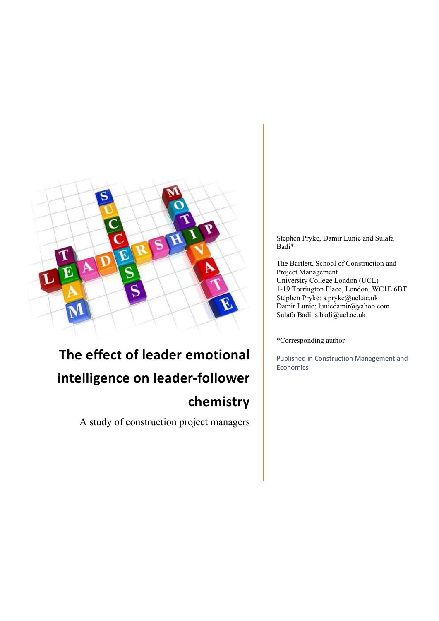

# **The effect of leader emotional intelligence on leader‐follower chemistry**

A study of construction project managers

Stephen Pryke, Damir Lunic and Sulafa Badi\*

The Bartlett, School of Construction and Project Management University College London (UCL) 1-19 Torrington Place, London, WC1E 6BT Stephen Pryke: s.pryke@ucl.ac.uk Damir Lunic: lunicdamir@yahoo.com Sulafa Badi: s.badi@ucl.ac.uk

#### \*Corresponding author

Published in Construction Management and Economics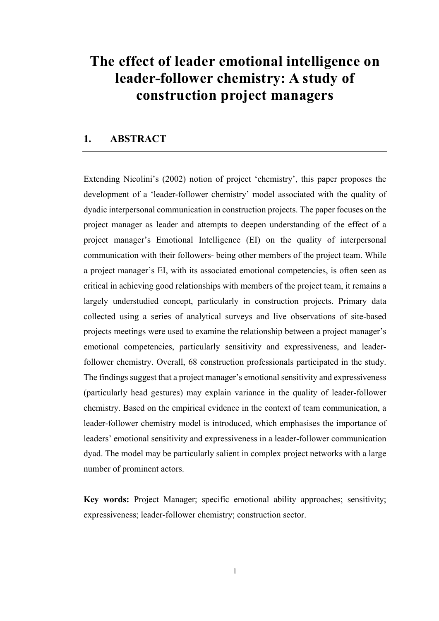# **The effect of leader emotional intelligence on leader-follower chemistry: A study of construction project managers**

### **1. ABSTRACT**

Extending Nicolini's (2002) notion of project 'chemistry', this paper proposes the development of a 'leader-follower chemistry' model associated with the quality of dyadic interpersonal communication in construction projects. The paper focuses on the project manager as leader and attempts to deepen understanding of the effect of a project manager's Emotional Intelligence (EI) on the quality of interpersonal communication with their followers- being other members of the project team. While a project manager's EI, with its associated emotional competencies, is often seen as critical in achieving good relationships with members of the project team, it remains a largely understudied concept, particularly in construction projects. Primary data collected using a series of analytical surveys and live observations of site-based projects meetings were used to examine the relationship between a project manager's emotional competencies, particularly sensitivity and expressiveness, and leaderfollower chemistry. Overall, 68 construction professionals participated in the study. The findings suggest that a project manager's emotional sensitivity and expressiveness (particularly head gestures) may explain variance in the quality of leader-follower chemistry. Based on the empirical evidence in the context of team communication, a leader-follower chemistry model is introduced, which emphasises the importance of leaders' emotional sensitivity and expressiveness in a leader-follower communication dyad. The model may be particularly salient in complex project networks with a large number of prominent actors.

**Key words:** Project Manager; specific emotional ability approaches; sensitivity; expressiveness; leader-follower chemistry; construction sector.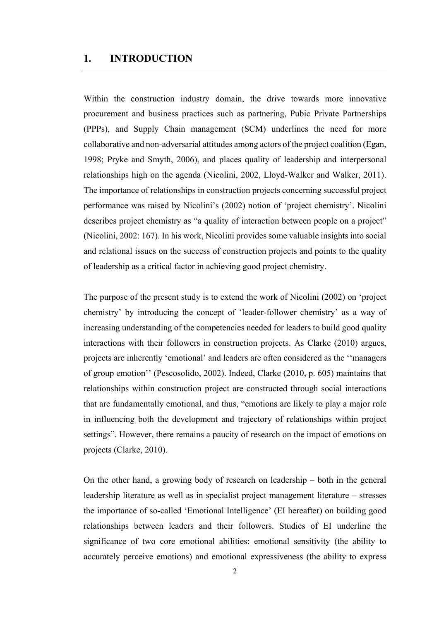#### **1. INTRODUCTION**

Within the construction industry domain, the drive towards more innovative procurement and business practices such as partnering, Pubic Private Partnerships (PPPs), and Supply Chain management (SCM) underlines the need for more collaborative and non-adversarial attitudes among actors of the project coalition (Egan, 1998; Pryke and Smyth, 2006), and places quality of leadership and interpersonal relationships high on the agenda (Nicolini, 2002, Lloyd-Walker and Walker, 2011). The importance of relationships in construction projects concerning successful project performance was raised by Nicolini's (2002) notion of 'project chemistry'. Nicolini describes project chemistry as "a quality of interaction between people on a project" (Nicolini, 2002: 167). In his work, Nicolini provides some valuable insights into social and relational issues on the success of construction projects and points to the quality of leadership as a critical factor in achieving good project chemistry.

The purpose of the present study is to extend the work of Nicolini (2002) on 'project chemistry' by introducing the concept of 'leader-follower chemistry' as a way of increasing understanding of the competencies needed for leaders to build good quality interactions with their followers in construction projects. As Clarke (2010) argues, projects are inherently 'emotional' and leaders are often considered as the ''managers of group emotion'' (Pescosolido, 2002). Indeed, Clarke (2010, p. 605) maintains that relationships within construction project are constructed through social interactions that are fundamentally emotional, and thus, "emotions are likely to play a major role in influencing both the development and trajectory of relationships within project settings". However, there remains a paucity of research on the impact of emotions on projects (Clarke, 2010).

On the other hand, a growing body of research on leadership – both in the general leadership literature as well as in specialist project management literature – stresses the importance of so-called 'Emotional Intelligence' (EI hereafter) on building good relationships between leaders and their followers. Studies of EI underline the significance of two core emotional abilities: emotional sensitivity (the ability to accurately perceive emotions) and emotional expressiveness (the ability to express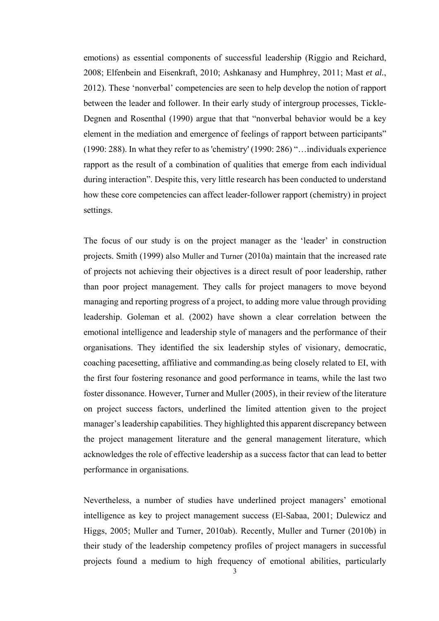emotions) as essential components of successful leadership (Riggio and Reichard, 2008; Elfenbein and Eisenkraft, 2010; Ashkanasy and Humphrey, 2011; Mast *et al.*, 2012). These 'nonverbal' competencies are seen to help develop the notion of rapport between the leader and follower. In their early study of intergroup processes, Tickle-Degnen and Rosenthal (1990) argue that that "nonverbal behavior would be a key element in the mediation and emergence of feelings of rapport between participants" (1990: 288). In what they refer to as 'chemistry' (1990: 286) "…individuals experience rapport as the result of a combination of qualities that emerge from each individual during interaction". Despite this, very little research has been conducted to understand how these core competencies can affect leader-follower rapport (chemistry) in project settings.

The focus of our study is on the project manager as the 'leader' in construction projects. Smith (1999) also Muller and Turner (2010a) maintain that the increased rate of projects not achieving their objectives is a direct result of poor leadership, rather than poor project management. They calls for project managers to move beyond managing and reporting progress of a project, to adding more value through providing leadership. Goleman et al. (2002) have shown a clear correlation between the emotional intelligence and leadership style of managers and the performance of their organisations. They identified the six leadership styles of visionary, democratic, coaching pacesetting, affiliative and commanding.as being closely related to EI, with the first four fostering resonance and good performance in teams, while the last two foster dissonance. However, Turner and Muller (2005), in their review of the literature on project success factors, underlined the limited attention given to the project manager's leadership capabilities. They highlighted this apparent discrepancy between the project management literature and the general management literature, which acknowledges the role of effective leadership as a success factor that can lead to better performance in organisations.

Nevertheless, a number of studies have underlined project managers' emotional intelligence as key to project management success (El-Sabaa, 2001; Dulewicz and Higgs, 2005; Muller and Turner, 2010ab). Recently, Muller and Turner (2010b) in their study of the leadership competency profiles of project managers in successful projects found a medium to high frequency of emotional abilities, particularly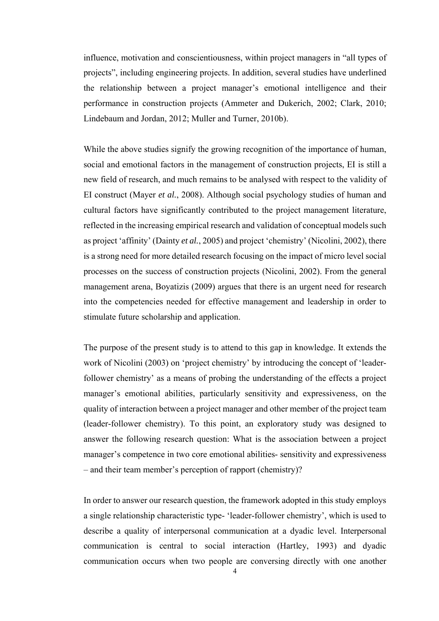influence, motivation and conscientiousness, within project managers in "all types of projects", including engineering projects. In addition, several studies have underlined the relationship between a project manager's emotional intelligence and their performance in construction projects (Ammeter and Dukerich, 2002; Clark, 2010; Lindebaum and Jordan, 2012; Muller and Turner, 2010b).

While the above studies signify the growing recognition of the importance of human, social and emotional factors in the management of construction projects, EI is still a new field of research, and much remains to be analysed with respect to the validity of EI construct (Mayer *et al.*, 2008). Although social psychology studies of human and cultural factors have significantly contributed to the project management literature, reflected in the increasing empirical research and validation of conceptual models such as project 'affinity' (Dainty *et al.*, 2005) and project 'chemistry' (Nicolini, 2002), there is a strong need for more detailed research focusing on the impact of micro level social processes on the success of construction projects (Nicolini, 2002). From the general management arena, Boyatizis (2009) argues that there is an urgent need for research into the competencies needed for effective management and leadership in order to stimulate future scholarship and application.

The purpose of the present study is to attend to this gap in knowledge. It extends the work of Nicolini (2003) on 'project chemistry' by introducing the concept of 'leaderfollower chemistry' as a means of probing the understanding of the effects a project manager's emotional abilities, particularly sensitivity and expressiveness, on the quality of interaction between a project manager and other member of the project team (leader-follower chemistry). To this point, an exploratory study was designed to answer the following research question: What is the association between a project manager's competence in two core emotional abilities- sensitivity and expressiveness – and their team member's perception of rapport (chemistry)?

In order to answer our research question, the framework adopted in this study employs a single relationship characteristic type- 'leader-follower chemistry', which is used to describe a quality of interpersonal communication at a dyadic level. Interpersonal communication is central to social interaction (Hartley, 1993) and dyadic communication occurs when two people are conversing directly with one another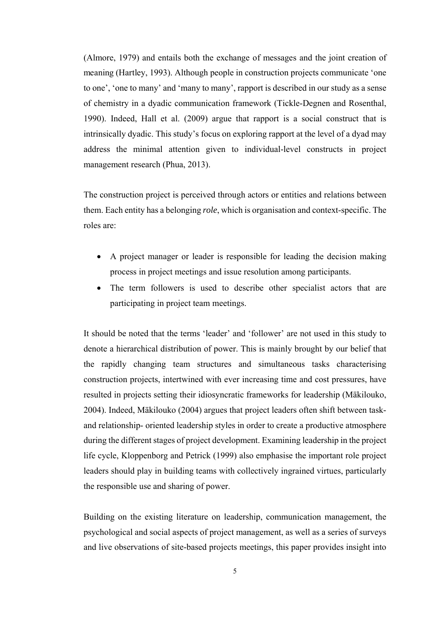(Almore, 1979) and entails both the exchange of messages and the joint creation of meaning (Hartley, 1993). Although people in construction projects communicate 'one to one', 'one to many' and 'many to many', rapport is described in our study as a sense of chemistry in a dyadic communication framework (Tickle-Degnen and Rosenthal, 1990). Indeed, Hall et al. (2009) argue that rapport is a social construct that is intrinsically dyadic. This study's focus on exploring rapport at the level of a dyad may address the minimal attention given to individual-level constructs in project management research (Phua, 2013).

The construction project is perceived through actors or entities and relations between them. Each entity has a belonging *role*, which is organisation and context-specific. The roles are:

- A project manager or leader is responsible for leading the decision making process in project meetings and issue resolution among participants.
- The term followers is used to describe other specialist actors that are participating in project team meetings.

It should be noted that the terms 'leader' and 'follower' are not used in this study to denote a hierarchical distribution of power. This is mainly brought by our belief that the rapidly changing team structures and simultaneous tasks characterising construction projects, intertwined with ever increasing time and cost pressures, have resulted in projects setting their idiosyncratic frameworks for leadership (Mäkilouko, 2004). Indeed, Mäkilouko (2004) argues that project leaders often shift between taskand relationship- oriented leadership styles in order to create a productive atmosphere during the different stages of project development. Examining leadership in the project life cycle, Kloppenborg and Petrick (1999) also emphasise the important role project leaders should play in building teams with collectively ingrained virtues, particularly the responsible use and sharing of power.

Building on the existing literature on leadership, communication management, the psychological and social aspects of project management, as well as a series of surveys and live observations of site-based projects meetings, this paper provides insight into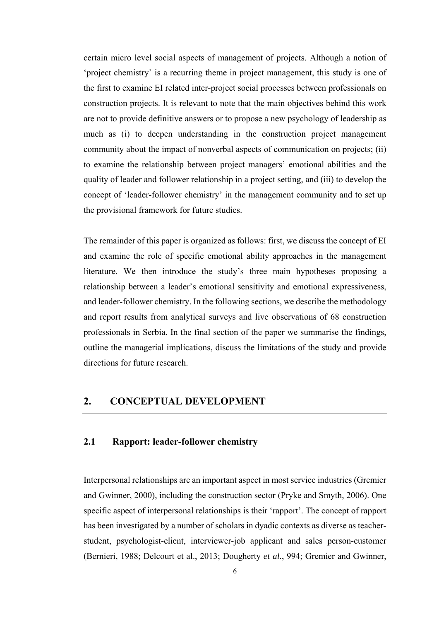certain micro level social aspects of management of projects. Although a notion of 'project chemistry' is a recurring theme in project management, this study is one of the first to examine EI related inter-project social processes between professionals on construction projects. It is relevant to note that the main objectives behind this work are not to provide definitive answers or to propose a new psychology of leadership as much as (i) to deepen understanding in the construction project management community about the impact of nonverbal aspects of communication on projects; (ii) to examine the relationship between project managers' emotional abilities and the quality of leader and follower relationship in a project setting, and (iii) to develop the concept of 'leader-follower chemistry' in the management community and to set up the provisional framework for future studies.

The remainder of this paper is organized as follows: first, we discuss the concept of EI and examine the role of specific emotional ability approaches in the management literature. We then introduce the study's three main hypotheses proposing a relationship between a leader's emotional sensitivity and emotional expressiveness, and leader-follower chemistry. In the following sections, we describe the methodology and report results from analytical surveys and live observations of 68 construction professionals in Serbia. In the final section of the paper we summarise the findings, outline the managerial implications, discuss the limitations of the study and provide directions for future research.

### **2. CONCEPTUAL DEVELOPMENT**

#### **2.1 Rapport: leader-follower chemistry**

Interpersonal relationships are an important aspect in most service industries (Gremier and Gwinner, 2000), including the construction sector (Pryke and Smyth, 2006). One specific aspect of interpersonal relationships is their 'rapport'. The concept of rapport has been investigated by a number of scholars in dyadic contexts as diverse as teacherstudent, psychologist-client, interviewer-job applicant and sales person-customer (Bernieri, 1988; Delcourt et al., 2013; Dougherty *et al.*, 994; Gremier and Gwinner,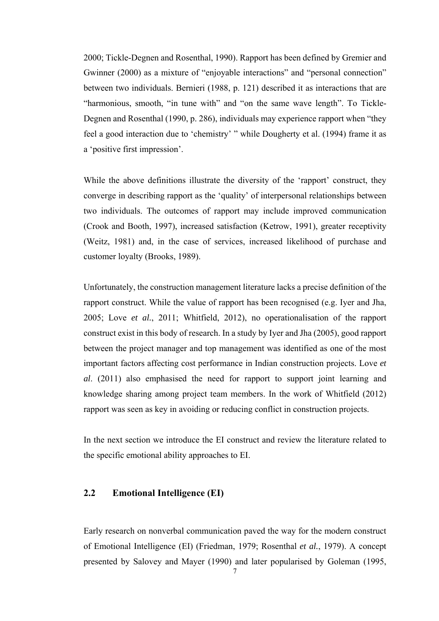2000; Tickle-Degnen and Rosenthal, 1990). Rapport has been defined by Gremier and Gwinner (2000) as a mixture of "enjoyable interactions" and "personal connection" between two individuals. Bernieri (1988, p. 121) described it as interactions that are "harmonious, smooth, "in tune with" and "on the same wave length". To Tickle-Degnen and Rosenthal (1990, p. 286), individuals may experience rapport when "they feel a good interaction due to 'chemistry' " while Dougherty et al. (1994) frame it as a 'positive first impression'.

While the above definitions illustrate the diversity of the 'rapport' construct, they converge in describing rapport as the 'quality' of interpersonal relationships between two individuals. The outcomes of rapport may include improved communication (Crook and Booth, 1997), increased satisfaction (Ketrow, 1991), greater receptivity (Weitz, 1981) and, in the case of services, increased likelihood of purchase and customer loyalty (Brooks, 1989).

Unfortunately, the construction management literature lacks a precise definition of the rapport construct. While the value of rapport has been recognised (e.g. Iyer and Jha, 2005; Love *et al.*, 2011; Whitfield, 2012), no operationalisation of the rapport construct exist in this body of research. In a study by Iyer and Jha (2005), good rapport between the project manager and top management was identified as one of the most important factors affecting cost performance in Indian construction projects. Love *et al*. (2011) also emphasised the need for rapport to support joint learning and knowledge sharing among project team members. In the work of Whitfield (2012) rapport was seen as key in avoiding or reducing conflict in construction projects.

In the next section we introduce the EI construct and review the literature related to the specific emotional ability approaches to EI.

#### **2.2 Emotional Intelligence (EI)**

Early research on nonverbal communication paved the way for the modern construct of Emotional Intelligence (EI) (Friedman, 1979; Rosenthal *et al.*, 1979). A concept presented by Salovey and Mayer (1990) and later popularised by Goleman (1995,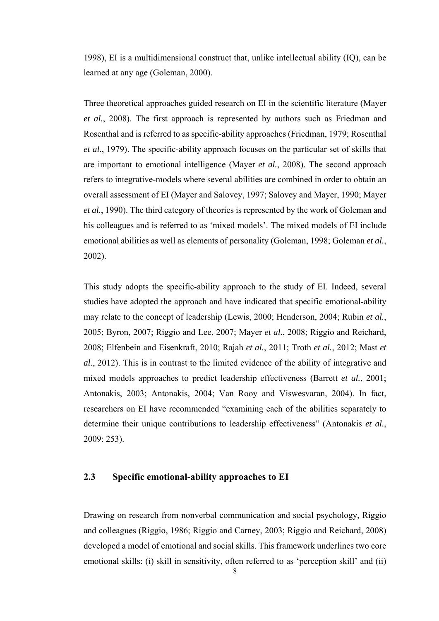1998), EI is a multidimensional construct that, unlike intellectual ability (IQ), can be learned at any age (Goleman, 2000).

Three theoretical approaches guided research on EI in the scientific literature (Mayer *et al.*, 2008). The first approach is represented by authors such as Friedman and Rosenthal and is referred to as specific-ability approaches (Friedman, 1979; Rosenthal *et al.*, 1979). The specific-ability approach focuses on the particular set of skills that are important to emotional intelligence (Mayer *et al.*, 2008). The second approach refers to integrative-models where several abilities are combined in order to obtain an overall assessment of EI (Mayer and Salovey, 1997; Salovey and Mayer, 1990; Mayer *et al.*, 1990). The third category of theories is represented by the work of Goleman and his colleagues and is referred to as 'mixed models'. The mixed models of EI include emotional abilities as well as elements of personality (Goleman, 1998; Goleman *et al.*, 2002).

This study adopts the specific-ability approach to the study of EI. Indeed, several studies have adopted the approach and have indicated that specific emotional-ability may relate to the concept of leadership (Lewis, 2000; Henderson, 2004; Rubin *et al.*, 2005; Byron, 2007; Riggio and Lee, 2007; Mayer *et al.*, 2008; Riggio and Reichard, 2008; Elfenbein and Eisenkraft, 2010; Rajah *et al.*, 2011; Troth *et al.*, 2012; Mast *et al.*, 2012). This is in contrast to the limited evidence of the ability of integrative and mixed models approaches to predict leadership effectiveness (Barrett *et al.*, 2001; Antonakis, 2003; Antonakis, 2004; Van Rooy and Viswesvaran, 2004). In fact, researchers on EI have recommended "examining each of the abilities separately to determine their unique contributions to leadership effectiveness" (Antonakis *et al.*, 2009: 253).

#### **2.3 Specific emotional-ability approaches to EI**

Drawing on research from nonverbal communication and social psychology, Riggio and colleagues (Riggio, 1986; Riggio and Carney, 2003; Riggio and Reichard, 2008) developed a model of emotional and social skills. This framework underlines two core emotional skills: (i) skill in sensitivity, often referred to as 'perception skill' and (ii)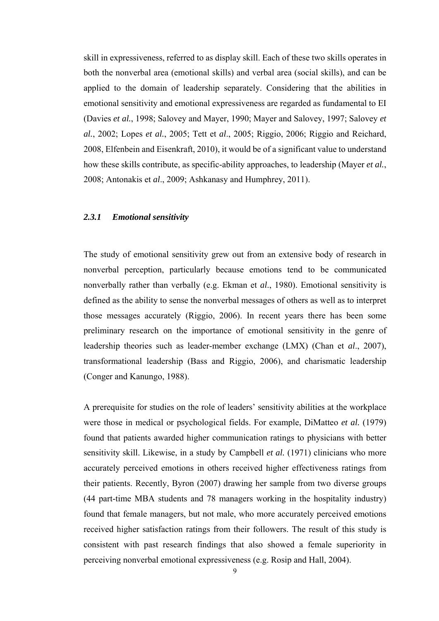skill in expressiveness, referred to as display skill. Each of these two skills operates in both the nonverbal area (emotional skills) and verbal area (social skills), and can be applied to the domain of leadership separately. Considering that the abilities in emotional sensitivity and emotional expressiveness are regarded as fundamental to EI (Davies *et al.*, 1998; Salovey and Mayer, 1990; Mayer and Salovey, 1997; Salovey *et al.*, 2002; Lopes *et al.*, 2005; Tett et *al*., 2005; Riggio, 2006; Riggio and Reichard, 2008, Elfenbein and Eisenkraft, 2010), it would be of a significant value to understand how these skills contribute, as specific-ability approaches, to leadership (Mayer *et al.*, 2008; Antonakis et *al*., 2009; Ashkanasy and Humphrey, 2011).

#### *2.3.1 Emotional sensitivity*

The study of emotional sensitivity grew out from an extensive body of research in nonverbal perception, particularly because emotions tend to be communicated nonverbally rather than verbally (e.g. Ekman et *al*., 1980). Emotional sensitivity is defined as the ability to sense the nonverbal messages of others as well as to interpret those messages accurately (Riggio, 2006). In recent years there has been some preliminary research on the importance of emotional sensitivity in the genre of leadership theories such as leader-member exchange (LMX) (Chan et *al*., 2007), transformational leadership (Bass and Riggio, 2006), and charismatic leadership (Conger and Kanungo, 1988).

A prerequisite for studies on the role of leaders' sensitivity abilities at the workplace were those in medical or psychological fields. For example, DiMatteo *et al.* (1979) found that patients awarded higher communication ratings to physicians with better sensitivity skill. Likewise, in a study by Campbell *et al.* (1971) clinicians who more accurately perceived emotions in others received higher effectiveness ratings from their patients. Recently, Byron (2007) drawing her sample from two diverse groups (44 part-time MBA students and 78 managers working in the hospitality industry) found that female managers, but not male, who more accurately perceived emotions received higher satisfaction ratings from their followers. The result of this study is consistent with past research findings that also showed a female superiority in perceiving nonverbal emotional expressiveness (e.g. Rosip and Hall, 2004).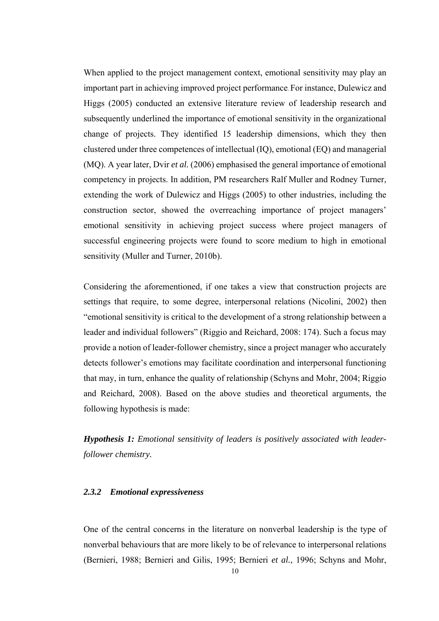When applied to the project management context, emotional sensitivity may play an important part in achieving improved project performance. For instance, Dulewicz and Higgs (2005) conducted an extensive literature review of leadership research and subsequently underlined the importance of emotional sensitivity in the organizational change of projects. They identified 15 leadership dimensions, which they then clustered under three competences of intellectual (IQ), emotional (EQ) and managerial (MQ). A year later, Dvir *et al.* (2006) emphasised the general importance of emotional competency in projects. In addition, PM researchers Ralf Muller and Rodney Turner, extending the work of Dulewicz and Higgs (2005) to other industries, including the construction sector, showed the overreaching importance of project managers' emotional sensitivity in achieving project success where project managers of successful engineering projects were found to score medium to high in emotional sensitivity (Muller and Turner, 2010b).

Considering the aforementioned, if one takes a view that construction projects are settings that require, to some degree, interpersonal relations (Nicolini, 2002) then "emotional sensitivity is critical to the development of a strong relationship between a leader and individual followers" (Riggio and Reichard, 2008: 174). Such a focus may provide a notion of leader-follower chemistry, since a project manager who accurately detects follower's emotions may facilitate coordination and interpersonal functioning that may, in turn, enhance the quality of relationship (Schyns and Mohr, 2004; Riggio and Reichard, 2008). Based on the above studies and theoretical arguments, the following hypothesis is made:

*Hypothesis 1: Emotional sensitivity of leaders is positively associated with leaderfollower chemistry.*

#### *2.3.2 Emotional expressiveness*

One of the central concerns in the literature on nonverbal leadership is the type of nonverbal behaviours that are more likely to be of relevance to interpersonal relations (Bernieri, 1988; Bernieri and Gilis, 1995; Bernieri *et al.*, 1996; Schyns and Mohr,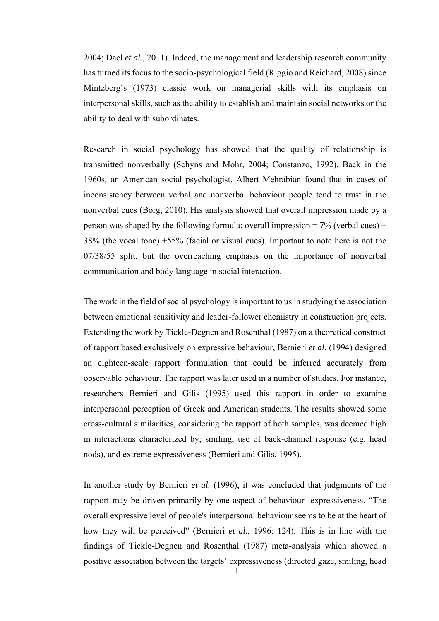2004; Dael *et al.*, 2011). Indeed, the management and leadership research community has turned its focus to the socio-psychological field (Riggio and Reichard, 2008) since Mintzberg's (1973) classic work on managerial skills with its emphasis on interpersonal skills, such as the ability to establish and maintain social networks or the ability to deal with subordinates.

Research in social psychology has showed that the quality of relationship is transmitted nonverbally (Schyns and Mohr, 2004; Constanzo, 1992). Back in the 1960s, an American social psychologist, Albert Mehrabian found that in cases of inconsistency between verbal and nonverbal behaviour people tend to trust in the nonverbal cues (Borg, 2010). His analysis showed that overall impression made by a person was shaped by the following formula: overall impression =  $7\%$  (verbal cues) + 38% (the vocal tone) +55% (facial or visual cues). Important to note here is not the 07/38/55 split, but the overreaching emphasis on the importance of nonverbal communication and body language in social interaction.

The work in the field of social psychology is important to us in studying the association between emotional sensitivity and leader-follower chemistry in construction projects. Extending the work by Tickle-Degnen and Rosenthal (1987) on a theoretical construct of rapport based exclusively on expressive behaviour, Bernieri *et al.* (1994) designed an eighteen-scale rapport formulation that could be inferred accurately from observable behaviour. The rapport was later used in a number of studies. For instance, researchers Bernieri and Gilis (1995) used this rapport in order to examine interpersonal perception of Greek and American students. The results showed some cross-cultural similarities, considering the rapport of both samples, was deemed high in interactions characterized by; smiling, use of back-channel response (e.g. head nods), and extreme expressiveness (Bernieri and Gilis, 1995).

In another study by Bernieri *et al.* (1996), it was concluded that judgments of the rapport may be driven primarily by one aspect of behaviour- expressiveness. "The overall expressive level of people's interpersonal behaviour seems to be at the heart of how they will be perceived" (Bernieri *et al.*, 1996: 124). This is in line with the findings of Tickle-Degnen and Rosenthal (1987) meta-analysis which showed a positive association between the targets' expressiveness (directed gaze, smiling, head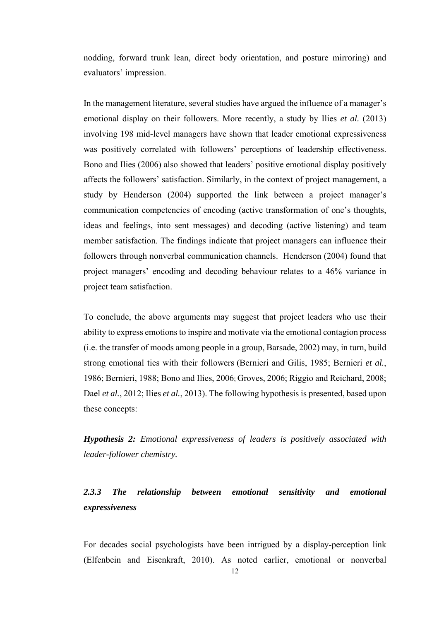nodding, forward trunk lean, direct body orientation, and posture mirroring) and evaluators' impression.

In the management literature, several studies have argued the influence of a manager's emotional display on their followers. More recently, a study by Ilies *et al.* (2013) involving 198 mid-level managers have shown that leader emotional expressiveness was positively correlated with followers' perceptions of leadership effectiveness. Bono and Ilies (2006) also showed that leaders' positive emotional display positively affects the followers' satisfaction. Similarly, in the context of project management, a study by Henderson (2004) supported the link between a project manager's communication competencies of encoding (active transformation of one's thoughts, ideas and feelings, into sent messages) and decoding (active listening) and team member satisfaction. The findings indicate that project managers can influence their followers through nonverbal communication channels. Henderson (2004) found that project managers' encoding and decoding behaviour relates to a 46% variance in project team satisfaction.

To conclude, the above arguments may suggest that project leaders who use their ability to express emotions to inspire and motivate via the emotional contagion process (i.e. the transfer of moods among people in a group, Barsade, 2002) may, in turn, build strong emotional ties with their followers (Bernieri and Gilis, 1985; Bernieri *et al.*, 1986; Bernieri, 1988; Bono and Ilies, 2006; Groves, 2006; Riggio and Reichard, 2008; Dael *et al.*, 2012; Ilies *et al.*, 2013). The following hypothesis is presented, based upon these concepts:

*Hypothesis 2: Emotional expressiveness of leaders is positively associated with leader-follower chemistry.*

### *2.3.3 The relationship between emotional sensitivity and emotional expressiveness*

For decades social psychologists have been intrigued by a display-perception link (Elfenbein and Eisenkraft, 2010). As noted earlier, emotional or nonverbal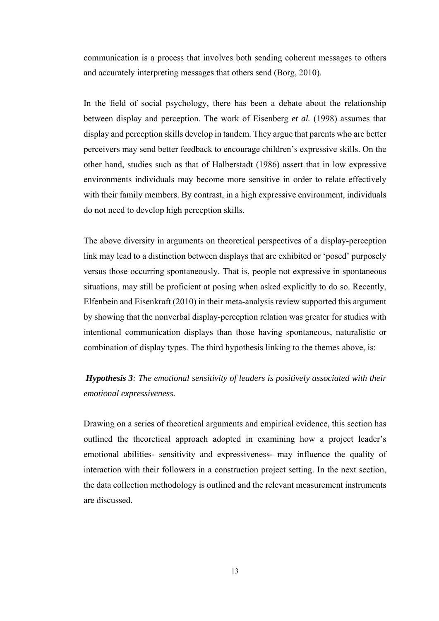communication is a process that involves both sending coherent messages to others and accurately interpreting messages that others send (Borg, 2010).

In the field of social psychology, there has been a debate about the relationship between display and perception. The work of Eisenberg *et al.* (1998) assumes that display and perception skills develop in tandem. They argue that parents who are better perceivers may send better feedback to encourage children's expressive skills. On the other hand, studies such as that of Halberstadt (1986) assert that in low expressive environments individuals may become more sensitive in order to relate effectively with their family members. By contrast, in a high expressive environment, individuals do not need to develop high perception skills.

The above diversity in arguments on theoretical perspectives of a display-perception link may lead to a distinction between displays that are exhibited or 'posed' purposely versus those occurring spontaneously. That is, people not expressive in spontaneous situations, may still be proficient at posing when asked explicitly to do so. Recently, Elfenbein and Eisenkraft (2010) in their meta-analysis review supported this argument by showing that the nonverbal display-perception relation was greater for studies with intentional communication displays than those having spontaneous, naturalistic or combination of display types. The third hypothesis linking to the themes above, is:

### *Hypothesis 3: The emotional sensitivity of leaders is positively associated with their emotional expressiveness.*

Drawing on a series of theoretical arguments and empirical evidence, this section has outlined the theoretical approach adopted in examining how a project leader's emotional abilities- sensitivity and expressiveness- may influence the quality of interaction with their followers in a construction project setting. In the next section, the data collection methodology is outlined and the relevant measurement instruments are discussed.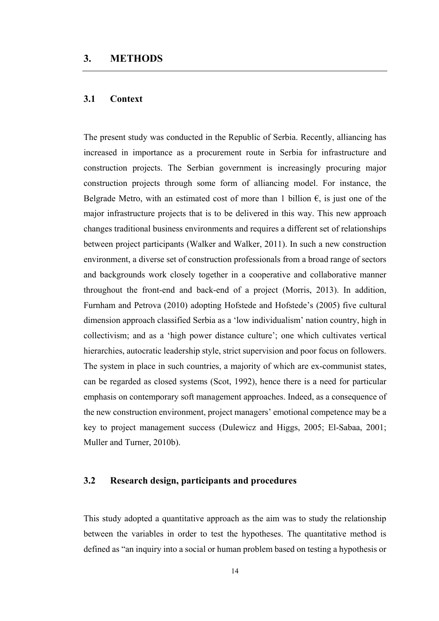#### **3.1 Context**

The present study was conducted in the Republic of Serbia. Recently, alliancing has increased in importance as a procurement route in Serbia for infrastructure and construction projects. The Serbian government is increasingly procuring major construction projects through some form of alliancing model. For instance, the Belgrade Metro, with an estimated cost of more than 1 billion  $\epsilon$ , is just one of the major infrastructure projects that is to be delivered in this way. This new approach changes traditional business environments and requires a different set of relationships between project participants (Walker and Walker, 2011). In such a new construction environment, a diverse set of construction professionals from a broad range of sectors and backgrounds work closely together in a cooperative and collaborative manner throughout the front-end and back-end of a project (Morris, 2013). In addition, Furnham and Petrova (2010) adopting Hofstede and Hofstede's (2005) five cultural dimension approach classified Serbia as a 'low individualism' nation country, high in collectivism; and as a 'high power distance culture'; one which cultivates vertical hierarchies, autocratic leadership style, strict supervision and poor focus on followers. The system in place in such countries, a majority of which are ex-communist states, can be regarded as closed systems (Scot, 1992), hence there is a need for particular emphasis on contemporary soft management approaches. Indeed, as a consequence of the new construction environment, project managers' emotional competence may be a key to project management success (Dulewicz and Higgs, 2005; El-Sabaa, 2001; Muller and Turner, 2010b).

#### **3.2 Research design, participants and procedures**

This study adopted a quantitative approach as the aim was to study the relationship between the variables in order to test the hypotheses. The quantitative method is defined as "an inquiry into a social or human problem based on testing a hypothesis or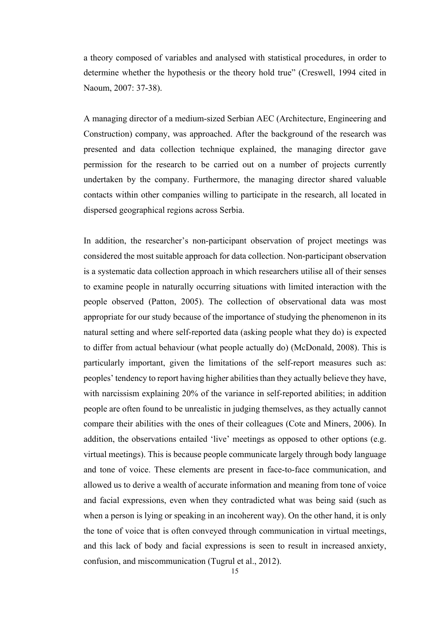a theory composed of variables and analysed with statistical procedures, in order to determine whether the hypothesis or the theory hold true" (Creswell, 1994 cited in Naoum, 2007: 37-38).

A managing director of a medium-sized Serbian AEC (Architecture, Engineering and Construction) company, was approached. After the background of the research was presented and data collection technique explained, the managing director gave permission for the research to be carried out on a number of projects currently undertaken by the company. Furthermore, the managing director shared valuable contacts within other companies willing to participate in the research, all located in dispersed geographical regions across Serbia.

In addition, the researcher's non-participant observation of project meetings was considered the most suitable approach for data collection. Non-participant observation is a systematic data collection approach in which researchers utilise all of their senses to examine people in naturally occurring situations with limited interaction with the people observed (Patton, 2005). The collection of observational data was most appropriate for our study because of the importance of studying the phenomenon in its natural setting and where self-reported data (asking people what they do) is expected to differ from actual behaviour (what people actually do) (McDonald, 2008). This is particularly important, given the limitations of the self-report measures such as: peoples' tendency to report having higher abilities than they actually believe they have, with narcissism explaining 20% of the variance in self-reported abilities; in addition people are often found to be unrealistic in judging themselves, as they actually cannot compare their abilities with the ones of their colleagues (Cote and Miners, 2006). In addition, the observations entailed 'live' meetings as opposed to other options (e.g. virtual meetings). This is because people communicate largely through body language and tone of voice. These elements are present in face-to-face communication, and allowed us to derive a wealth of accurate information and meaning from tone of voice and facial expressions, even when they contradicted what was being said (such as when a person is lying or speaking in an incoherent way). On the other hand, it is only the tone of voice that is often conveyed through communication in virtual meetings, and this lack of body and facial expressions is seen to result in increased anxiety, confusion, and miscommunication (Tugrul et al., 2012).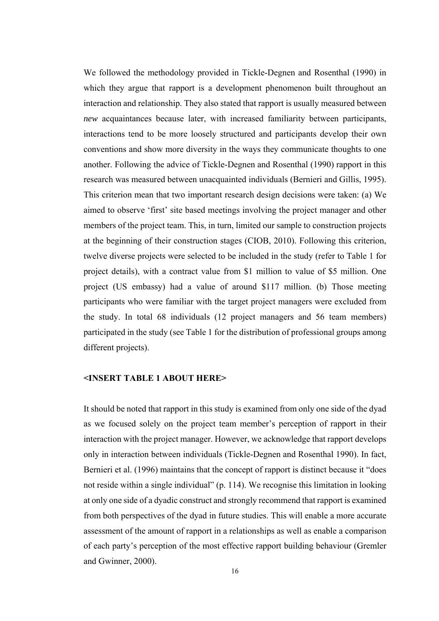We followed the methodology provided in Tickle-Degnen and Rosenthal (1990) in which they argue that rapport is a development phenomenon built throughout an interaction and relationship. They also stated that rapport is usually measured between *new* acquaintances because later, with increased familiarity between participants, interactions tend to be more loosely structured and participants develop their own conventions and show more diversity in the ways they communicate thoughts to one another. Following the advice of Tickle-Degnen and Rosenthal (1990) rapport in this research was measured between unacquainted individuals (Bernieri and Gillis, 1995). This criterion mean that two important research design decisions were taken: (a) We aimed to observe 'first' site based meetings involving the project manager and other members of the project team. This, in turn, limited our sample to construction projects at the beginning of their construction stages (CIOB, 2010). Following this criterion, twelve diverse projects were selected to be included in the study (refer to Table 1 for project details), with a contract value from \$1 million to value of \$5 million. One project (US embassy) had a value of around \$117 million. (b) Those meeting participants who were familiar with the target project managers were excluded from the study. In total 68 individuals (12 project managers and 56 team members) participated in the study (see Table 1 for the distribution of professional groups among different projects).

#### **<INSERT TABLE 1 ABOUT HERE>**

It should be noted that rapport in this study is examined from only one side of the dyad as we focused solely on the project team member's perception of rapport in their interaction with the project manager. However, we acknowledge that rapport develops only in interaction between individuals (Tickle-Degnen and Rosenthal 1990). In fact, Bernieri et al. (1996) maintains that the concept of rapport is distinct because it "does not reside within a single individual" (p. 114). We recognise this limitation in looking at only one side of a dyadic construct and strongly recommend that rapport is examined from both perspectives of the dyad in future studies. This will enable a more accurate assessment of the amount of rapport in a relationships as well as enable a comparison of each party's perception of the most effective rapport building behaviour (Gremler and Gwinner, 2000).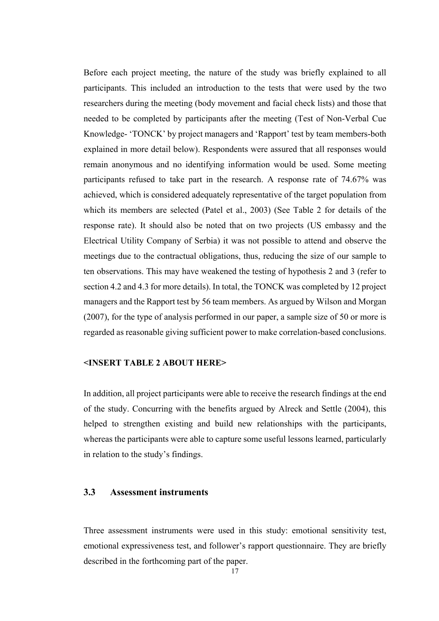Before each project meeting, the nature of the study was briefly explained to all participants. This included an introduction to the tests that were used by the two researchers during the meeting (body movement and facial check lists) and those that needed to be completed by participants after the meeting (Test of Non-Verbal Cue Knowledge- 'TONCK' by project managers and 'Rapport' test by team members-both explained in more detail below). Respondents were assured that all responses would remain anonymous and no identifying information would be used. Some meeting participants refused to take part in the research. A response rate of 74.67% was achieved, which is considered adequately representative of the target population from which its members are selected (Patel et al., 2003) (See Table 2 for details of the response rate). It should also be noted that on two projects (US embassy and the Electrical Utility Company of Serbia) it was not possible to attend and observe the meetings due to the contractual obligations, thus, reducing the size of our sample to ten observations. This may have weakened the testing of hypothesis 2 and 3 (refer to section 4.2 and 4.3 for more details). In total, the TONCK was completed by 12 project managers and the Rapport test by 56 team members. As argued by Wilson and Morgan (2007), for the type of analysis performed in our paper, a sample size of 50 or more is regarded as reasonable giving sufficient power to make correlation-based conclusions.

#### **<INSERT TABLE 2 ABOUT HERE>**

In addition, all project participants were able to receive the research findings at the end of the study. Concurring with the benefits argued by Alreck and Settle (2004), this helped to strengthen existing and build new relationships with the participants, whereas the participants were able to capture some useful lessons learned, particularly in relation to the study's findings.

#### **3.3 Assessment instruments**

Three assessment instruments were used in this study: emotional sensitivity test, emotional expressiveness test, and follower's rapport questionnaire. They are briefly described in the forthcoming part of the paper.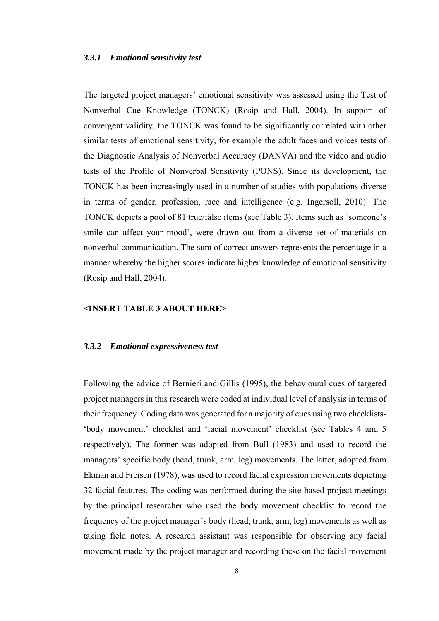#### *3.3.1 Emotional sensitivity test*

The targeted project managers' emotional sensitivity was assessed using the Test of Nonverbal Cue Knowledge (TONCK) (Rosip and Hall, 2004). In support of convergent validity, the TONCK was found to be significantly correlated with other similar tests of emotional sensitivity, for example the adult faces and voices tests of the Diagnostic Analysis of Nonverbal Accuracy (DANVA) and the video and audio tests of the Profile of Nonverbal Sensitivity (PONS). Since its development, the TONCK has been increasingly used in a number of studies with populations diverse in terms of gender, profession, race and intelligence (e.g. Ingersoll, 2010). The TONCK depicts a pool of 81 true/false items (see Table 3). Items such as `someone's smile can affect your mood`, were drawn out from a diverse set of materials on nonverbal communication. The sum of correct answers represents the percentage in a manner whereby the higher scores indicate higher knowledge of emotional sensitivity (Rosip and Hall, 2004).

#### **<INSERT TABLE 3 ABOUT HERE>**

#### *3.3.2 Emotional expressiveness test*

Following the advice of Bernieri and Gillis (1995), the behavioural cues of targeted project managers in this research were coded at individual level of analysis in terms of their frequency. Coding data was generated for a majority of cues using two checklists- 'body movement' checklist and 'facial movement' checklist (see Tables 4 and 5 respectively). The former was adopted from Bull (1983) and used to record the managers' specific body (head, trunk, arm, leg) movements. The latter, adopted from Ekman and Freisen (1978), was used to record facial expression movements depicting 32 facial features. The coding was performed during the site-based project meetings by the principal researcher who used the body movement checklist to record the frequency of the project manager's body (head, trunk, arm, leg) movements as well as taking field notes. A research assistant was responsible for observing any facial movement made by the project manager and recording these on the facial movement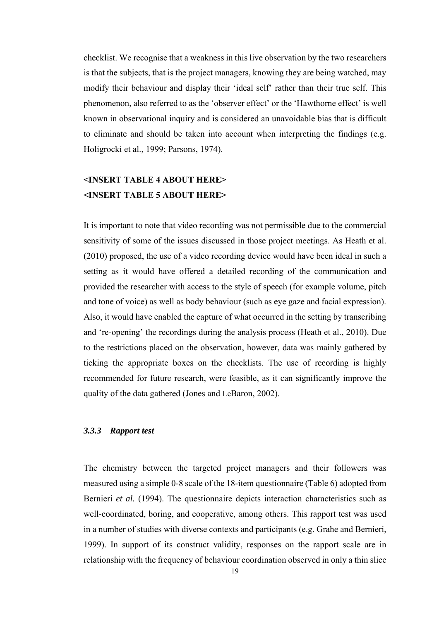checklist. We recognise that a weakness in this live observation by the two researchers is that the subjects, that is the project managers, knowing they are being watched, may modify their behaviour and display their 'ideal self' rather than their true self. This phenomenon, also referred to as the 'observer effect' or the 'Hawthorne effect' is well known in observational inquiry and is considered an unavoidable bias that is difficult to eliminate and should be taken into account when interpreting the findings (e.g. Holigrocki et al., 1999; Parsons, 1974).

### **<INSERT TABLE 4 ABOUT HERE> <INSERT TABLE 5 ABOUT HERE>**

It is important to note that video recording was not permissible due to the commercial sensitivity of some of the issues discussed in those project meetings. As Heath et al. (2010) proposed, the use of a video recording device would have been ideal in such a setting as it would have offered a detailed recording of the communication and provided the researcher with access to the style of speech (for example volume, pitch and tone of voice) as well as body behaviour (such as eye gaze and facial expression). Also, it would have enabled the capture of what occurred in the setting by transcribing and 're-opening' the recordings during the analysis process (Heath et al., 2010). Due to the restrictions placed on the observation, however, data was mainly gathered by ticking the appropriate boxes on the checklists. The use of recording is highly recommended for future research, were feasible, as it can significantly improve the quality of the data gathered (Jones and LeBaron, 2002).

#### *3.3.3 Rapport test*

The chemistry between the targeted project managers and their followers was measured using a simple 0-8 scale of the 18-item questionnaire (Table 6) adopted from Bernieri *et al.* (1994). The questionnaire depicts interaction characteristics such as well-coordinated, boring, and cooperative, among others. This rapport test was used in a number of studies with diverse contexts and participants (e.g. Grahe and Bernieri, 1999). In support of its construct validity, responses on the rapport scale are in relationship with the frequency of behaviour coordination observed in only a thin slice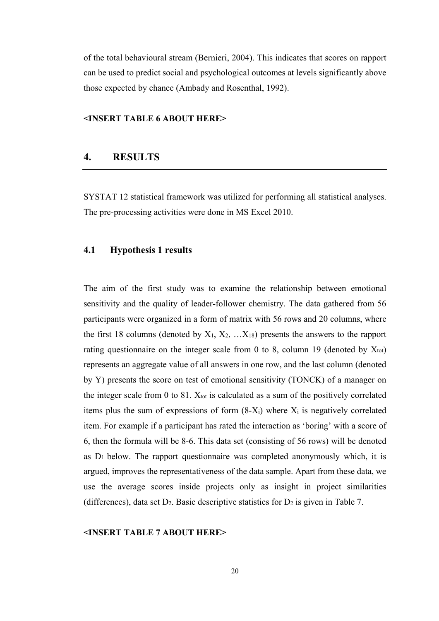of the total behavioural stream (Bernieri, 2004). This indicates that scores on rapport can be used to predict social and psychological outcomes at levels significantly above those expected by chance (Ambady and Rosenthal, 1992).

#### **<INSERT TABLE 6 ABOUT HERE>**

#### **4. RESULTS**

SYSTAT 12 statistical framework was utilized for performing all statistical analyses. The pre-processing activities were done in MS Excel 2010.

#### **4.1 Hypothesis 1 results**

The aim of the first study was to examine the relationship between emotional sensitivity and the quality of leader-follower chemistry. The data gathered from 56 participants were organized in a form of matrix with 56 rows and 20 columns, where the first 18 columns (denoted by  $X_1, X_2, \ldots, X_{18}$ ) presents the answers to the rapport rating questionnaire on the integer scale from 0 to 8, column 19 (denoted by  $X_{tot}$ ) represents an aggregate value of all answers in one row, and the last column (denoted by Y) presents the score on test of emotional sensitivity (TONCK) of a manager on the integer scale from 0 to 81.  $X_{tot}$  is calculated as a sum of the positively correlated items plus the sum of expressions of form  $(8-X_i)$  where  $X_i$  is negatively correlated item. For example if a participant has rated the interaction as 'boring' with a score of 6, then the formula will be 8-6. This data set (consisting of 56 rows) will be denoted as  $D_1$  below. The rapport questionnaire was completed anonymously which, it is argued, improves the representativeness of the data sample. Apart from these data, we use the average scores inside projects only as insight in project similarities (differences), data set  $D_2$ . Basic descriptive statistics for  $D_2$  is given in Table 7.

#### **<INSERT TABLE 7 ABOUT HERE>**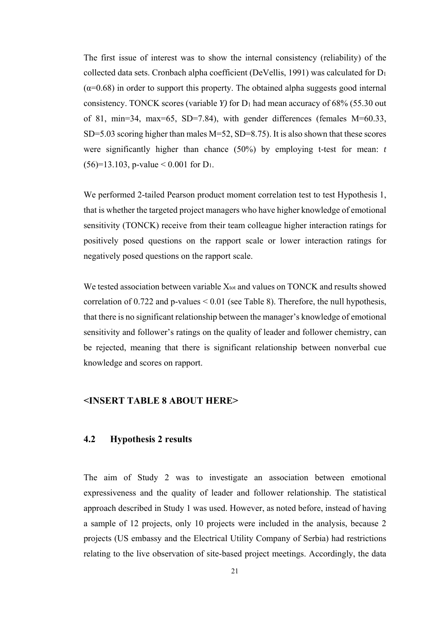The first issue of interest was to show the internal consistency (reliability) of the collected data sets. Cronbach alpha coefficient (DeVellis, 1991) was calculated for D1  $(\alpha=0.68)$  in order to support this property. The obtained alpha suggests good internal consistency. TONCK scores (variable  $Y$ ) for  $D_1$  had mean accuracy of 68% (55.30 out of 81, min=34, max=65, SD=7.84), with gender differences (females M=60.33, SD=5.03 scoring higher than males M=52, SD=8.75). It is also shown that these scores were significantly higher than chance (50%) by employing t-test for mean: *t*  $(56)=13.103$ , p-value < 0.001 for D<sub>1</sub>.

We performed 2-tailed Pearson product moment correlation test to test Hypothesis 1, that is whether the targeted project managers who have higher knowledge of emotional sensitivity (TONCK) receive from their team colleague higher interaction ratings for positively posed questions on the rapport scale or lower interaction ratings for negatively posed questions on the rapport scale.

We tested association between variable X<sub>tot</sub> and values on TONCK and results showed correlation of 0.722 and p-values < 0.01 (see Table 8). Therefore, the null hypothesis, that there is no significant relationship between the manager's knowledge of emotional sensitivity and follower's ratings on the quality of leader and follower chemistry, can be rejected, meaning that there is significant relationship between nonverbal cue knowledge and scores on rapport.

#### **<INSERT TABLE 8 ABOUT HERE>**

#### **4.2 Hypothesis 2 results**

The aim of Study 2 was to investigate an association between emotional expressiveness and the quality of leader and follower relationship. The statistical approach described in Study 1 was used. However, as noted before, instead of having a sample of 12 projects, only 10 projects were included in the analysis, because 2 projects (US embassy and the Electrical Utility Company of Serbia) had restrictions relating to the live observation of site-based project meetings. Accordingly, the data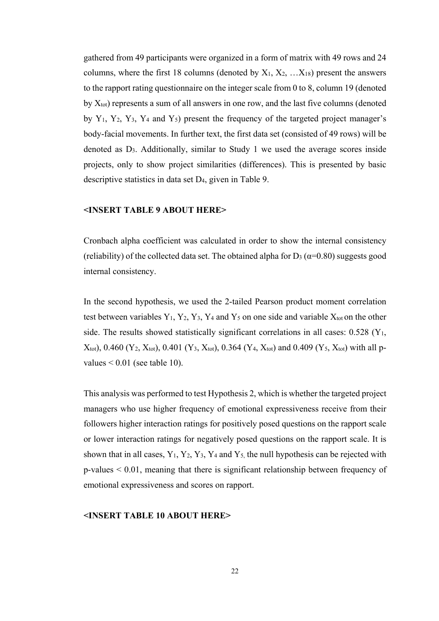gathered from 49 participants were organized in a form of matrix with 49 rows and 24 columns, where the first 18 columns (denoted by  $X_1, X_2, \ldots, X_{18}$ ) present the answers to the rapport rating questionnaire on the integer scale from 0 to 8, column 19 (denoted by  $X_{tot}$ ) represents a sum of all answers in one row, and the last five columns (denoted by  $Y_1$ ,  $Y_2$ ,  $Y_3$ ,  $Y_4$  and  $Y_5$ ) present the frequency of the targeted project manager's body-facial movements. In further text, the first data set (consisted of 49 rows) will be denoted as D3. Additionally, similar to Study 1 we used the average scores inside projects, only to show project similarities (differences). This is presented by basic descriptive statistics in data set D4, given in Table 9.

#### **<INSERT TABLE 9 ABOUT HERE>**

Cronbach alpha coefficient was calculated in order to show the internal consistency (reliability) of the collected data set. The obtained alpha for  $D_3$  ( $\alpha$ =0.80) suggests good internal consistency.

In the second hypothesis, we used the 2-tailed Pearson product moment correlation test between variables  $Y_1$ ,  $Y_2$ ,  $Y_3$ ,  $Y_4$  and  $Y_5$  on one side and variable  $X_{\text{tot}}$  on the other side. The results showed statistically significant correlations in all cases:  $0.528$  (Y<sub>1</sub>,  $X_{\text{tot}}$ ), 0.460 (Y<sub>2</sub>, X<sub>tot</sub>), 0.401 (Y<sub>3</sub>, X<sub>tot</sub>), 0.364 (Y<sub>4</sub>, X<sub>tot</sub>) and 0.409 (Y<sub>5</sub>, X<sub>tot</sub>) with all pvalues  $\leq 0.01$  (see table 10).

This analysis was performed to test Hypothesis 2, which is whether the targeted project managers who use higher frequency of emotional expressiveness receive from their followers higher interaction ratings for positively posed questions on the rapport scale or lower interaction ratings for negatively posed questions on the rapport scale. It is shown that in all cases,  $Y_1$ ,  $Y_2$ ,  $Y_3$ ,  $Y_4$  and  $Y_5$ , the null hypothesis can be rejected with p-values < 0.01, meaning that there is significant relationship between frequency of emotional expressiveness and scores on rapport.

#### **<INSERT TABLE 10 ABOUT HERE>**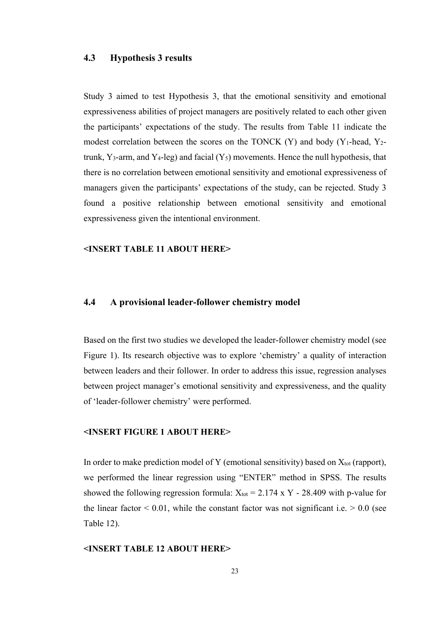#### **4.3 Hypothesis 3 results**

Study 3 aimed to test Hypothesis 3, that the emotional sensitivity and emotional expressiveness abilities of project managers are positively related to each other given the participants' expectations of the study. The results from Table 11 indicate the modest correlation between the scores on the TONCK  $(Y)$  and body  $(Y_1$ -head,  $Y_2$ trunk, Y<sub>3</sub>-arm, and Y<sub>4</sub>-leg) and facial  $(Y_5)$  movements. Hence the null hypothesis, that there is no correlation between emotional sensitivity and emotional expressiveness of managers given the participants' expectations of the study, can be rejected. Study 3 found a positive relationship between emotional sensitivity and emotional expressiveness given the intentional environment.

#### **<INSERT TABLE 11 ABOUT HERE>**

#### **4.4 A provisional leader-follower chemistry model**

Based on the first two studies we developed the leader-follower chemistry model (see Figure 1). Its research objective was to explore 'chemistry' a quality of interaction between leaders and their follower. In order to address this issue, regression analyses between project manager's emotional sensitivity and expressiveness, and the quality of 'leader-follower chemistry' were performed.

#### **<INSERT FIGURE 1 ABOUT HERE>**

In order to make prediction model of Y (emotional sensitivity) based on  $X_{tot}$  (rapport), we performed the linear regression using "ENTER" method in SPSS. The results showed the following regression formula:  $X_{\text{tot}} = 2.174 \text{ x Y} - 28.409 \text{ with p-value for}$ the linear factor  $\leq 0.01$ , while the constant factor was not significant i.e.  $\geq 0.0$  (see Table 12).

#### **<INSERT TABLE 12 ABOUT HERE>**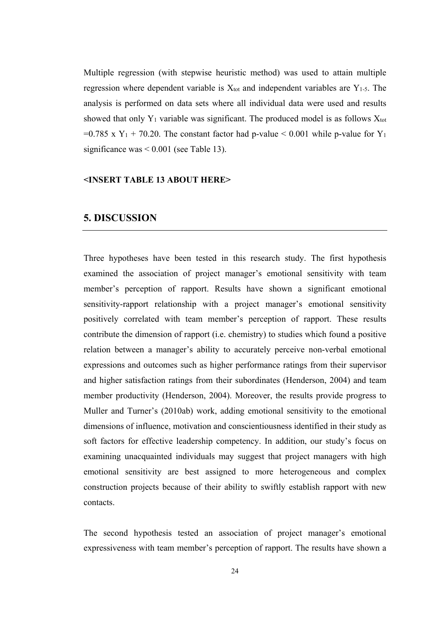Multiple regression (with stepwise heuristic method) was used to attain multiple regression where dependent variable is  $X_{tot}$  and independent variables are  $Y_{1-5}$ . The analysis is performed on data sets where all individual data were used and results showed that only  $Y_1$  variable was significant. The produced model is as follows  $X_{\text{tot}}$ =0.785 x  $Y_1$  + 70.20. The constant factor had p-value < 0.001 while p-value for  $Y_1$ significance was < 0.001 (see Table 13).

#### **<INSERT TABLE 13 ABOUT HERE>**

#### **5. DISCUSSION**

Three hypotheses have been tested in this research study. The first hypothesis examined the association of project manager's emotional sensitivity with team member's perception of rapport. Results have shown a significant emotional sensitivity-rapport relationship with a project manager's emotional sensitivity positively correlated with team member's perception of rapport. These results contribute the dimension of rapport (i.e. chemistry) to studies which found a positive relation between a manager's ability to accurately perceive non-verbal emotional expressions and outcomes such as higher performance ratings from their supervisor and higher satisfaction ratings from their subordinates (Henderson, 2004) and team member productivity (Henderson, 2004). Moreover, the results provide progress to Muller and Turner's (2010ab) work, adding emotional sensitivity to the emotional dimensions of influence, motivation and conscientiousness identified in their study as soft factors for effective leadership competency. In addition, our study's focus on examining unacquainted individuals may suggest that project managers with high emotional sensitivity are best assigned to more heterogeneous and complex construction projects because of their ability to swiftly establish rapport with new contacts.

The second hypothesis tested an association of project manager's emotional expressiveness with team member's perception of rapport. The results have shown a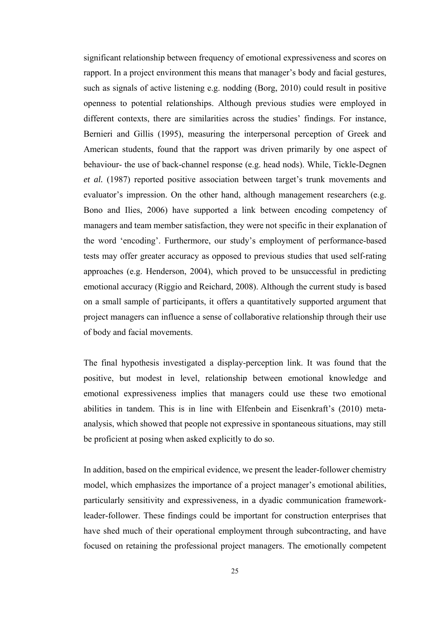significant relationship between frequency of emotional expressiveness and scores on rapport. In a project environment this means that manager's body and facial gestures, such as signals of active listening e.g. nodding (Borg, 2010) could result in positive openness to potential relationships. Although previous studies were employed in different contexts, there are similarities across the studies' findings. For instance, Bernieri and Gillis (1995), measuring the interpersonal perception of Greek and American students, found that the rapport was driven primarily by one aspect of behaviour- the use of back-channel response (e.g. head nods). While, Tickle-Degnen *et al.* (1987) reported positive association between target's trunk movements and evaluator's impression. On the other hand, although management researchers (e.g. Bono and Ilies, 2006) have supported a link between encoding competency of managers and team member satisfaction, they were not specific in their explanation of the word 'encoding'. Furthermore, our study's employment of performance-based tests may offer greater accuracy as opposed to previous studies that used self-rating approaches (e.g. Henderson, 2004), which proved to be unsuccessful in predicting emotional accuracy (Riggio and Reichard, 2008). Although the current study is based on a small sample of participants, it offers a quantitatively supported argument that project managers can influence a sense of collaborative relationship through their use of body and facial movements.

The final hypothesis investigated a display-perception link. It was found that the positive, but modest in level, relationship between emotional knowledge and emotional expressiveness implies that managers could use these two emotional abilities in tandem. This is in line with Elfenbein and Eisenkraft's (2010) metaanalysis, which showed that people not expressive in spontaneous situations, may still be proficient at posing when asked explicitly to do so.

In addition, based on the empirical evidence, we present the leader-follower chemistry model, which emphasizes the importance of a project manager's emotional abilities, particularly sensitivity and expressiveness, in a dyadic communication frameworkleader-follower. These findings could be important for construction enterprises that have shed much of their operational employment through subcontracting, and have focused on retaining the professional project managers. The emotionally competent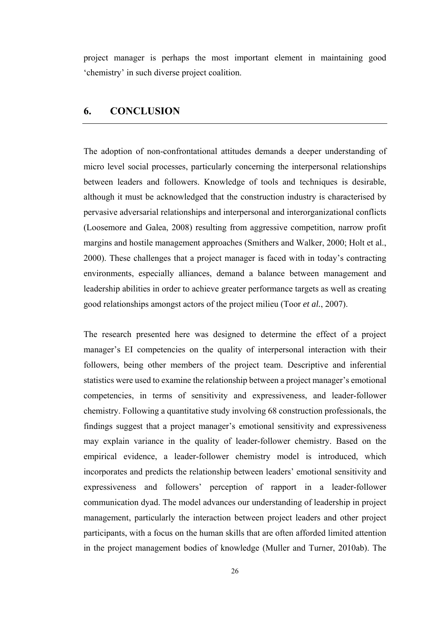project manager is perhaps the most important element in maintaining good 'chemistry' in such diverse project coalition.

### **6. CONCLUSION**

The adoption of non-confrontational attitudes demands a deeper understanding of micro level social processes, particularly concerning the interpersonal relationships between leaders and followers. Knowledge of tools and techniques is desirable, although it must be acknowledged that the construction industry is characterised by pervasive adversarial relationships and interpersonal and interorganizational conflicts (Loosemore and Galea, 2008) resulting from aggressive competition, narrow profit margins and hostile management approaches (Smithers and Walker, 2000; Holt et al., 2000). These challenges that a project manager is faced with in today's contracting environments, especially alliances, demand a balance between management and leadership abilities in order to achieve greater performance targets as well as creating good relationships amongst actors of the project milieu (Toor *et al.*, 2007).

The research presented here was designed to determine the effect of a project manager's EI competencies on the quality of interpersonal interaction with their followers, being other members of the project team. Descriptive and inferential statistics were used to examine the relationship between a project manager's emotional competencies, in terms of sensitivity and expressiveness, and leader-follower chemistry. Following a quantitative study involving 68 construction professionals, the findings suggest that a project manager's emotional sensitivity and expressiveness may explain variance in the quality of leader-follower chemistry. Based on the empirical evidence, a leader-follower chemistry model is introduced, which incorporates and predicts the relationship between leaders' emotional sensitivity and expressiveness and followers' perception of rapport in a leader-follower communication dyad. The model advances our understanding of leadership in project management, particularly the interaction between project leaders and other project participants, with a focus on the human skills that are often afforded limited attention in the project management bodies of knowledge (Muller and Turner, 2010ab). The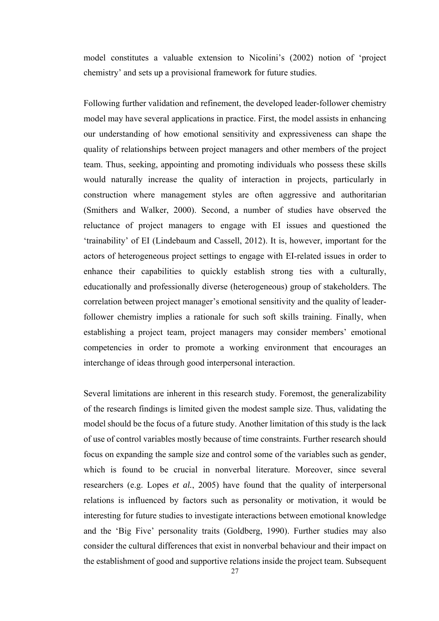model constitutes a valuable extension to Nicolini's (2002) notion of 'project chemistry' and sets up a provisional framework for future studies.

Following further validation and refinement, the developed leader-follower chemistry model may have several applications in practice. First, the model assists in enhancing our understanding of how emotional sensitivity and expressiveness can shape the quality of relationships between project managers and other members of the project team. Thus, seeking, appointing and promoting individuals who possess these skills would naturally increase the quality of interaction in projects, particularly in construction where management styles are often aggressive and authoritarian (Smithers and Walker, 2000). Second, a number of studies have observed the reluctance of project managers to engage with EI issues and questioned the 'trainability' of EI (Lindebaum and Cassell, 2012). It is, however, important for the actors of heterogeneous project settings to engage with EI-related issues in order to enhance their capabilities to quickly establish strong ties with a culturally, educationally and professionally diverse (heterogeneous) group of stakeholders. The correlation between project manager's emotional sensitivity and the quality of leaderfollower chemistry implies a rationale for such soft skills training. Finally, when establishing a project team, project managers may consider members' emotional competencies in order to promote a working environment that encourages an interchange of ideas through good interpersonal interaction.

Several limitations are inherent in this research study. Foremost, the generalizability of the research findings is limited given the modest sample size. Thus, validating the model should be the focus of a future study. Another limitation of this study is the lack of use of control variables mostly because of time constraints. Further research should focus on expanding the sample size and control some of the variables such as gender, which is found to be crucial in nonverbal literature. Moreover, since several researchers (e.g. Lopes *et al.*, 2005) have found that the quality of interpersonal relations is influenced by factors such as personality or motivation, it would be interesting for future studies to investigate interactions between emotional knowledge and the 'Big Five' personality traits (Goldberg, 1990). Further studies may also consider the cultural differences that exist in nonverbal behaviour and their impact on the establishment of good and supportive relations inside the project team. Subsequent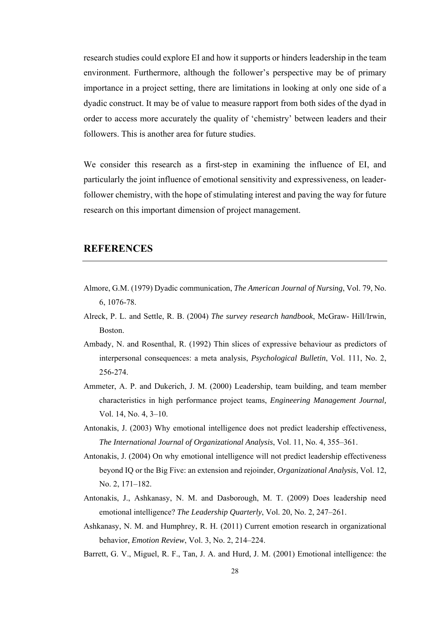research studies could explore EI and how it supports or hinders leadership in the team environment. Furthermore, although the follower's perspective may be of primary importance in a project setting, there are limitations in looking at only one side of a dyadic construct. It may be of value to measure rapport from both sides of the dyad in order to access more accurately the quality of 'chemistry' between leaders and their followers. This is another area for future studies.

We consider this research as a first-step in examining the influence of EI, and particularly the joint influence of emotional sensitivity and expressiveness, on leaderfollower chemistry, with the hope of stimulating interest and paving the way for future research on this important dimension of project management.

#### **REFERENCES**

- Almore, G.M. (1979) Dyadic communication, *The American Journal of Nursing*, Vol. 79, No. 6, 1076-78.
- Alreck, P. L. and Settle, R. B. (2004) *The survey research handbook*, McGraw- Hill/Irwin, Boston.
- Ambady, N. and Rosenthal, R. (1992) Thin slices of expressive behaviour as predictors of interpersonal consequences: a meta analysis, *Psychological Bulletin*, Vol. 111, No. 2, 256-274.
- Ammeter, A. P. and Dukerich, J. M. (2000) Leadership, team building, and team member characteristics in high performance project teams, *Engineering Management Journal,* Vol. 14, No. 4, 3–10.
- Antonakis, J. (2003) Why emotional intelligence does not predict leadership effectiveness, *The International Journal of Organizational Analysis*, Vol. 11, No. 4, 355–361.
- Antonakis, J. (2004) On why emotional intelligence will not predict leadership effectiveness beyond IQ or the Big Five: an extension and rejoinder, *Organizational Analysis*, Vol. 12, No. 2, 171–182.
- Antonakis, J., Ashkanasy, N. M. and Dasborough, M. T. (2009) Does leadership need emotional intelligence? *The Leadership Quarterly*, Vol. 20, No. 2, 247–261.
- Ashkanasy, N. M. and Humphrey, R. H. (2011) Current emotion research in organizational behavior, *Emotion Review*, Vol. 3, No. 2, 214–224.
- Barrett, G. V., Miguel, R. F., Tan, J. A. and Hurd, J. M. (2001) Emotional intelligence: the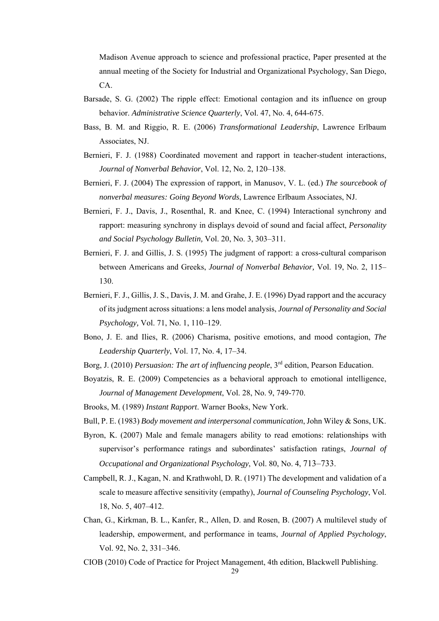Madison Avenue approach to science and professional practice, Paper presented at the annual meeting of the Society for Industrial and Organizational Psychology, San Diego, CA.

- Barsade, S. G. (2002) The ripple effect: Emotional contagion and its influence on group behavior. *Administrative Science Quarterly*, Vol. 47, No. 4, 644-675.
- Bass, B. M. and Riggio, R. E. (2006) *Transformational Leadership*, Lawrence Erlbaum Associates, NJ.
- Bernieri, F. J. (1988) Coordinated movement and rapport in teacher-student interactions, *Journal of Nonverbal Behavior*, Vol. 12, No. 2, 120–138.
- Bernieri, F. J. (2004) The expression of rapport, in Manusov, V. L. (ed.) *The sourcebook of nonverbal measures: Going Beyond Words*, Lawrence Erlbaum Associates, NJ.
- Bernieri, F. J., Davis, J., Rosenthal, R. and Knee, C. (1994) Interactional synchrony and rapport: measuring synchrony in displays devoid of sound and facial affect, *Personality and Social Psychology Bulletin,* Vol. 20, No. 3, 303–311.
- Bernieri, F. J. and Gillis, J. S. (1995) The judgment of rapport: a cross-cultural comparison between Americans and Greeks, *Journal of Nonverbal Behavior,* Vol. 19, No. 2, 115– 130.
- Bernieri, F. J., Gillis, J. S., Davis, J. M. and Grahe, J. E. (1996) Dyad rapport and the accuracy of its judgment across situations: a lens model analysis, *Journal of Personality and Social Psychology,* Vol. 71, No. 1, 110–129.
- Bono, J. E. and Ilies, R. (2006) Charisma, positive emotions, and mood contagion, *The Leadership Quarterly*, Vol. 17, No. 4, 17–34.
- Borg, J. (2010) *Persuasion: The art of influencing people*, 3<sup>rd</sup> edition, Pearson Education.
- Boyatzis, R. E. (2009) Competencies as a behavioral approach to emotional intelligence, *Journal of Management Development*, Vol. 28, No. 9, 749-770.
- Brooks, M. (1989) *Instant Rapport*. Warner Books, New York.
- Bull, P. E. (1983) *Body movement and interpersonal communication*, John Wiley & Sons, UK.
- Byron, K. (2007) Male and female managers ability to read emotions: relationships with supervisor's performance ratings and subordinates' satisfaction ratings, *Journal of Occupational and Organizational Psychology*, Vol. 80, No. 4, 713–733.
- Campbell, R. J., Kagan, N. and Krathwohl, D. R. (1971) The development and validation of a scale to measure affective sensitivity (empathy), *Journal of Counseling Psychology*, Vol. 18, No. 5, 407–412.
- Chan, G., Kirkman, B. L., Kanfer, R., Allen, D. and Rosen, B. (2007) A multilevel study of leadership, empowerment, and performance in teams, *Journal of Applied Psychology*, Vol. 92, No. 2, 331–346.
- CIOB (2010) Code of Practice for Project Management, 4th edition, Blackwell Publishing.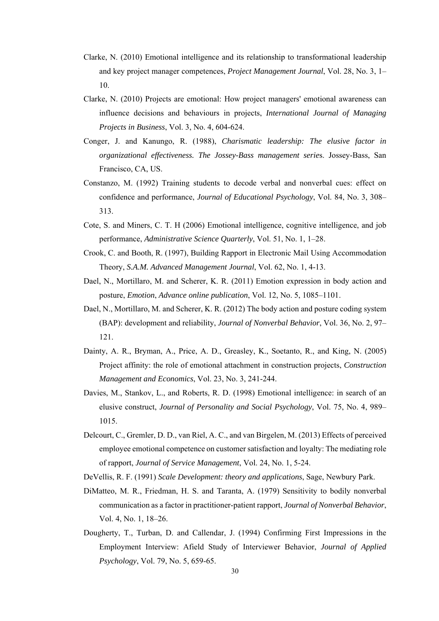- Clarke, N. (2010) Emotional intelligence and its relationship to transformational leadership and key project manager competences, *Project Management Journal*, Vol. 28, No. 3, 1– 10.
- Clarke, N. (2010) Projects are emotional: How project managers' emotional awareness can influence decisions and behaviours in projects, *International Journal of Managing Projects in Business*, Vol. 3, No. 4, 604-624.
- Conger, J. and Kanungo, R. (1988), *Charismatic leadership: The elusive factor in organizational effectiveness. The Jossey-Bass management serie*s. Jossey-Bass, San Francisco, CA, US.
- Constanzo, M. (1992) Training students to decode verbal and nonverbal cues: effect on confidence and performance, *Journal of Educational Psychology*, Vol. 84, No. 3, 308– 313.
- Cote, S. and Miners, C. T. H (2006) Emotional intelligence, cognitive intelligence, and job performance, *Administrative Science Quarterly*, Vol. 51, No. 1, 1–28.
- Crook, C. and Booth, R. (1997), Building Rapport in Electronic Mail Using Accommodation Theory, *S.A.M. Advanced Management Journal*, Vol. 62, No. 1, 4-13.
- Dael, N., Mortillaro, M. and Scherer, K. R. (2011) Emotion expression in body action and posture, *Emotion*, *Advance online publication*, Vol. 12, No. 5, 1085–1101.
- Dael, N., Mortillaro, M. and Scherer, K. R. (2012) The body action and posture coding system (BAP): development and reliability, *Journal of Nonverbal Behavior*, Vol. 36, No. 2, 97– 121.
- Dainty, A. R., Bryman, A., Price, A. D., Greasley, K., Soetanto, R., and King, N. (2005) Project affinity: the role of emotional attachment in construction projects, *Construction Management and Economics*, Vol. 23, No. 3, 241-244.
- Davies, M., Stankov, L., and Roberts, R. D. (1998) Emotional intelligence: in search of an elusive construct, *Journal of Personality and Social Psychology*, Vol. 75, No. 4, 989– 1015.
- Delcourt, C., Gremler, D. D., van Riel, A. C., and van Birgelen, M. (2013) Effects of perceived employee emotional competence on customer satisfaction and loyalty: The mediating role of rapport, *Journal of Service Management*, Vol. 24, No. 1, 5-24.
- DeVellis, R. F. (1991) *Scale Development: theory and applications*, Sage, Newbury Park.
- DiMatteo, M. R., Friedman, H. S. and Taranta, A. (1979) Sensitivity to bodily nonverbal communication as a factor in practitioner-patient rapport, *Journal of Nonverbal Behavior*, Vol. 4, No. 1, 18–26.
- Dougherty, T., Turban, D. and Callendar, J. (1994) Confirming First Impressions in the Employment Interview: Afield Study of Interviewer Behavior, *Journal of Applied Psychology*, Vol. 79, No. 5, 659-65.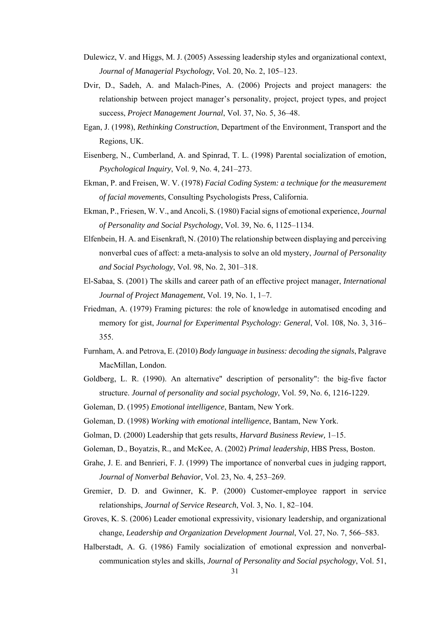- Dulewicz, V. and Higgs, M. J. (2005) Assessing leadership styles and organizational context, *Journal of Managerial Psychology*, Vol. 20, No. 2, 105–123.
- Dvir, D., Sadeh, A. and Malach-Pines, A. (2006) Projects and project managers: the relationship between project manager's personality, project, project types, and project success, *Project Management Journal*, Vol. 37, No. 5, 36–48.
- Egan, J. (1998), *Rethinking Construction*, Department of the Environment, Transport and the Regions, UK.
- Eisenberg, N., Cumberland, A. and Spinrad, T. L. (1998) Parental socialization of emotion, *Psychological Inquiry*, Vol. 9, No. 4, 241–273.
- Ekman, P. and Freisen, W. V. (1978) *Facial Coding System: a technique for the measurement of facial movements*, Consulting Psychologists Press, California.
- Ekman, P., Friesen, W. V., and Ancoli, S. (1980) Facial signs of emotional experience, *Journal of Personality and Social Psychology*, Vol. 39, No. 6, 1125–1134.
- Elfenbein, H. A. and Eisenkraft, N. (2010) The relationship between displaying and perceiving nonverbal cues of affect: a meta-analysis to solve an old mystery, *Journal of Personality and Social Psychology*, Vol. 98, No. 2, 301–318.
- El-Sabaa, S. (2001) The skills and career path of an effective project manager, *International Journal of Project Management*, Vol. 19, No. 1, 1–7.
- Friedman, A. (1979) Framing pictures: the role of knowledge in automatised encoding and memory for gist, *Journal for Experimental Psychology: General*, Vol. 108, No. 3, 316– 355.
- Furnham, A. and Petrova, E. (2010) *Body language in business: decoding the signals*, Palgrave MacMillan, London.
- Goldberg, L. R. (1990). An alternative" description of personality": the big-five factor structure. *Journal of personality and social psychology*, Vol. 59, No. 6, 1216-1229.
- Goleman, D. (1995) *Emotional intelligence*, Bantam, New York.
- Goleman, D. (1998) *Working with emotional intelligence*, Bantam, New York.
- Golman, D. (2000) Leadership that gets results, *Harvard Business Review,* 1–15.
- Goleman, D., Boyatzis, R., and McKee, A. (2002) *Primal leadership*, HBS Press, Boston.
- Grahe, J. E. and Benrieri, F. J. (1999) The importance of nonverbal cues in judging rapport, *Journal of Nonverbal Behavior*, Vol. 23, No. 4, 253–269.
- Gremier, D. D. and Gwinner, K. P. (2000) Customer-employee rapport in service relationships, *Journal of Service Research*, Vol. 3, No. 1, 82–104.
- Groves, K. S. (2006) Leader emotional expressivity, visionary leadership, and organizational change, *Leadership and Organization Development Journal*, Vol. 27, No. 7, 566–583.
- Halberstadt, A. G. (1986) Family socialization of emotional expression and nonverbalcommunication styles and skills, *Journal of Personality and Social psychology*, Vol. 51,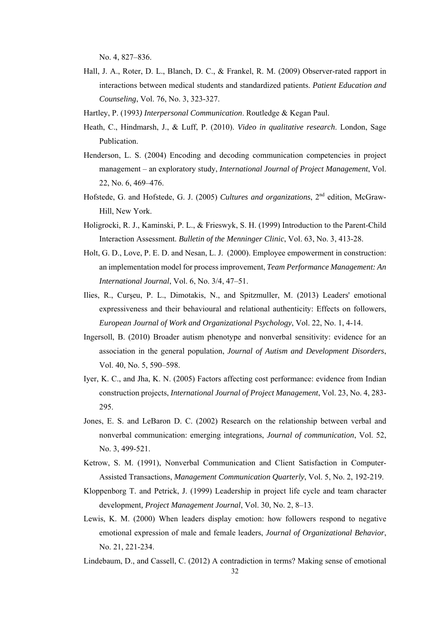No. 4, 827–836.

- Hall, J. A., Roter, D. L., Blanch, D. C., & Frankel, R. M. (2009) Observer-rated rapport in interactions between medical students and standardized patients. *Patient Education and Counseling*, Vol. 76, No. 3, 323-327.
- Hartley, P. (1993*) Interpersonal Communication*. Routledge & Kegan Paul.
- Heath, C., Hindmarsh, J., & Luff, P. (2010). *Video in qualitative research*. London, Sage Publication.
- Henderson, L. S. (2004) Encoding and decoding communication competencies in project management – an exploratory study, *International Journal of Project Management*, Vol. 22, No. 6, 469–476.
- Hofstede, G. and Hofstede, G. J. (2005) *Cultures and organizations*, 2nd edition, McGraw-Hill, New York.
- Holigrocki, R. J., Kaminski, P. L., & Frieswyk, S. H. (1999) Introduction to the Parent-Child Interaction Assessment. *Bulletin of the Menninger Clinic*, Vol. 63, No. 3, 413-28.
- Holt, G. D., Love, P. E. D. and Nesan, L. J. (2000). Employee empowerment in construction: an implementation model for process improvement, *Team Performance Management: An International Journal*, Vol. 6, No. 3/4, 47–51.
- Ilies, R., Curşeu, P. L., Dimotakis, N., and Spitzmuller, M. (2013) Leaders' emotional expressiveness and their behavioural and relational authenticity: Effects on followers, *European Journal of Work and Organizational Psychology*, Vol. 22, No. 1, 4-14.
- Ingersoll, B. (2010) Broader autism phenotype and nonverbal sensitivity: evidence for an association in the general population, *Journal of Autism and Development Disorders*, Vol. 40, No. 5, 590–598.
- Iyer, K. C., and Jha, K. N. (2005) Factors affecting cost performance: evidence from Indian construction projects, *International Journal of Project Management*, Vol. 23, No. 4, 283- 295.
- Jones, E. S. and LeBaron D. C. (2002) Research on the relationship between verbal and nonverbal communication: emerging integrations, *Journal of communication*, Vol. 52, No. 3, 499-521.
- Ketrow, S. M. (1991), Nonverbal Communication and Client Satisfaction in Computer-Assisted Transactions, *Management Communication Quarterly*, Vol. 5, No. 2, 192-219.
- Kloppenborg T. and Petrick, J. (1999) Leadership in project life cycle and team character development*, Project Management Journal*, Vol. 30, No. 2, 8–13.
- Lewis, K. M. (2000) When leaders display emotion: how followers respond to negative emotional expression of male and female leaders, *Journal of Organizational Behavior*, No. 21, 221-234.
- Lindebaum, D., and Cassell, C. (2012) A contradiction in terms? Making sense of emotional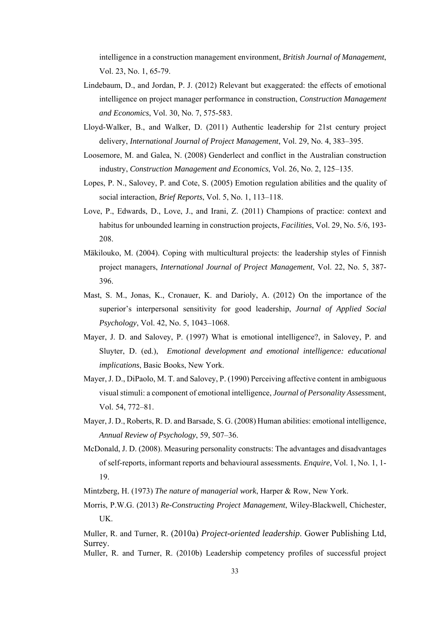intelligence in a construction management environment, *British Journal of Management*, Vol. 23, No. 1, 65-79.

- Lindebaum, D., and Jordan, P. J. (2012) Relevant but exaggerated: the effects of emotional intelligence on project manager performance in construction, *Construction Management and Economics*, Vol. 30, No. 7, 575-583.
- Lloyd-Walker, B., and Walker, D. (2011) Authentic leadership for 21st century project delivery, *International Journal of Project Management*, Vol. 29, No. 4, 383–395.
- Loosemore, M. and Galea, N. (2008) Genderlect and conflict in the Australian construction industry, *Construction Management and Economics*, Vol. 26, No. 2, 125–135.
- Lopes, P. N., Salovey, P. and Cote, S. (2005) Emotion regulation abilities and the quality of social interaction, *Brief Reports*, Vol. 5, No. 1, 113–118.
- Love, P., Edwards, D., Love, J., and Irani, Z. (2011) Champions of practice: context and habitus for unbounded learning in construction projects, *Facilities*, Vol. 29, No. 5/6, 193- 208.
- Mäkilouko, M. (2004). Coping with multicultural projects: the leadership styles of Finnish project managers, *International Journal of Project Management*, Vol. 22, No. 5, 387- 396.
- Mast, S. M., Jonas, K., Cronauer, K. and Darioly, A. (2012) On the importance of the superior's interpersonal sensitivity for good leadership, *Journal of Applied Social Psychology*, Vol. 42, No. 5, 1043–1068.
- Mayer, J. D. and Salovey, P. (1997) What is emotional intelligence?, in Salovey, P. and Sluyter, D. (ed.), *Emotional development and emotional intelligence: educational implications*, Basic Books, New York.
- Mayer, J. D., DiPaolo, M. T. and Salovey, P. (1990) Perceiving affective content in ambiguous visual stimuli: a component of emotional intelligence, *Journal of Personality Assess*ment, Vol. 54, 772–81.
- Mayer, J. D., Roberts, R. D. and Barsade, S. G. (2008) Human abilities: emotional intelligence, *Annual Review of Psychology*, 59, 507–36.
- McDonald, J. D. (2008). Measuring personality constructs: The advantages and disadvantages of self-reports, informant reports and behavioural assessments. *Enquire*, Vol. 1, No. 1, 1- 19.

Mintzberg, H. (1973) *The nature of managerial work*, Harper & Row, New York.

Morris, P.W.G. (2013) *Re-Constructing Project Management*, Wiley-Blackwell, Chichester, UK.

Muller, R. and Turner, R. (2010a) *Project-oriented leadership*. Gower Publishing Ltd, Surrey.

Muller, R. and Turner, R. (2010b) Leadership competency profiles of successful project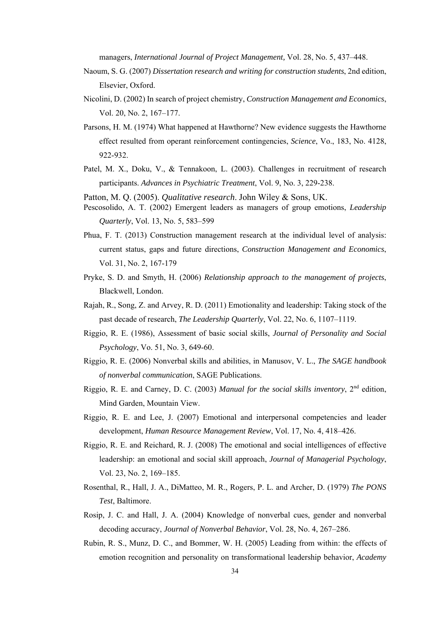managers, *International Journal of Project Management,* Vol. 28, No. 5, 437–448.

- Naoum, S. G. (2007) *Dissertation research and writing for construction students*, 2nd edition, Elsevier, Oxford.
- Nicolini, D. (2002) In search of project chemistry, *Construction Management and Economics*, Vol. 20, No. 2, 167–177.
- Parsons, H. M. (1974) What happened at Hawthorne? New evidence suggests the Hawthorne effect resulted from operant reinforcement contingencies, *Science*, Vo., 183, No. 4128, 922-932.
- Patel, M. X., Doku, V., & Tennakoon, L. (2003). Challenges in recruitment of research participants. *Advances in Psychiatric Treatment*, Vol. 9, No. 3, 229-238.

Patton, M. Q. (2005). *Qualitative research*. John Wiley & Sons, UK.

- Pescosolido, A. T. (2002) Emergent leaders as managers of group emotions, *Leadership Quarterly*, Vol. 13, No. 5, 583–599
- Phua, F. T. (2013) Construction management research at the individual level of analysis: current status, gaps and future directions, *Construction Management and Economics*, Vol. 31, No. 2, 167-179
- Pryke, S. D. and Smyth, H. (2006) *Relationship approach to the management of projects*, Blackwell, London.
- Rajah, R., Song, Z. and Arvey, R. D. (2011) Emotionality and leadership: Taking stock of the past decade of research, *The Leadership Quarterly*, Vol. 22, No. 6, 1107–1119.
- Riggio, R. E. (1986), Assessment of basic social skills, *Journal of Personality and Social Psychology*, Vo. 51, No. 3, 649-60.
- Riggio, R. E. (2006) Nonverbal skills and abilities, in Manusov, V. L., *The SAGE handbook of nonverbal communication*, SAGE Publications.
- Riggio, R. E. and Carney, D. C. (2003) *Manual for the social skills inventory*, 2nd edition, Mind Garden, Mountain View.
- Riggio, R. E. and Lee, J. (2007) Emotional and interpersonal competencies and leader development, *Human Resource Management Review*, Vol. 17, No. 4, 418–426.
- Riggio, R. E. and Reichard, R. J. (2008) The emotional and social intelligences of effective leadership: an emotional and social skill approach, *Journal of Managerial Psychology*, Vol. 23, No. 2, 169–185.
- Rosenthal, R., Hall, J. A., DiMatteo, M. R., Rogers, P. L. and Archer, D. (1979) *The PONS Test*, Baltimore.
- Rosip, J. C. and Hall, J. A. (2004) Knowledge of nonverbal cues, gender and nonverbal decoding accuracy, *Journal of Nonverbal Behavior*, Vol. 28, No. 4, 267–286.
- Rubin, R. S., Munz, D. C., and Bommer, W. H. (2005) Leading from within: the effects of emotion recognition and personality on transformational leadership behavior, *Academy*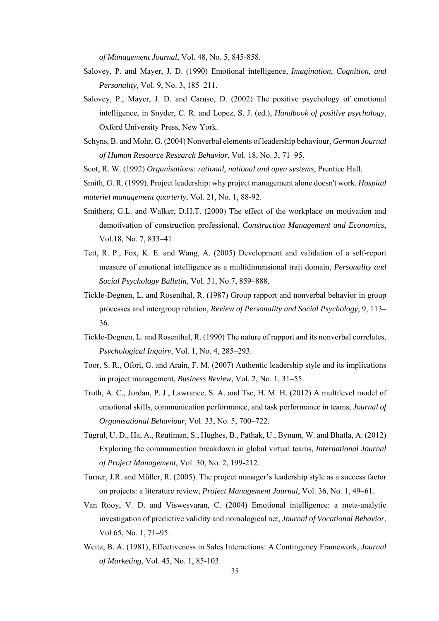*of Management Journal*, Vol. 48, No. 5, 845-858.

- Salovey, P. and Mayer, J. D. (1990) Emotional intelligence, *Imagination, Cognition, and Personality,* Vol. 9, No. 3, 185–211.
- Salovey, P., Mayer, J. D. and Caruso, D. (2002) The positive psychology of emotional intelligence, in Snyder, C. R. and Lopez, S. J. (ed.), *Handbook of positive psychology*, Oxford University Press, New York.
- Schyns, B. and Mohr, G. (2004) Nonverbal elements of leadership behaviour, *German Journal of Human Resource Research Behavior*, Vol. 18, No. 3, 71–95.
- Scot, R. W. (1992) *Organisations: rational, national and open systems*, Prentice Hall.

Smith, G. R. (1999). Project leadership: why project management alone doesn't work. *Hospital materiel management quarterly*, Vol. 21, No. 1, 88-92.

- Smithers, G.L. and Walker, D.H.T. (2000) The effect of the workplace on motivation and demotivation of construction professional, *Construction Management and Economics*, Vol.18, No. 7, 833–41.
- Tett, R. P., Fox, K. E. and Wang, A. (2005) Development and validation of a self-report measure of emotional intelligence as a multidimensional trait domain, *Personality and Social Psychology Bulletin,* Vol. 31, No.7, 859–888.
- Tickle-Degnen, L. and Rosenthal, R. (1987) Group rapport and nonverbal behavior in group processes and intergroup relation, *Review of Personality and Social Psychology*, 9, 113– 36.
- Tickle-Degnen, L. and Rosenthal, R. (1990) The nature of rapport and its nonverbal correlates, *Psychological Inquiry*, Vol. 1, No. 4, 285–293.
- Toor, S. R., Ofori, G. and Arain, F. M. (2007) Authentic leadership style and its implications in project management, *Business Review*, Vol. 2, No. 1, 31–55.
- Troth, A. C., Jordan, P. J., Lawrance, S. A. and Tse, H. M. H. (2012) A multilevel model of emotional skills, communication performance, and task performance in teams, *Journal of Organisational Behaviour*, Vol. 33, No. 5, 700–722.
- Tugrul, U. D., Ha, A., Reutiman, S., Hughes, B., Pathak, U., Bynum, W. and Bhatla, A. (2012) Exploring the communication breakdown in global virtual teams, *International Journal of Project Management*, Vol. 30, No. 2, 199-212.
- Turner, J.R. and Müller, R. (2005). The project manager's leadership style as a success factor on projects: a literature review, *Project Management Journal*, Vol. 36, No. 1, 49–61.
- Van Rooy, V. D. and Viswesvaran, C. (2004) Emotional intelligence: a meta-analytic investigation of predictive validity and nomological net, *Journal of Vocational Behavior*, Vol 65, No. 1, 71–95.
- Weitz, B. A. (1981), Effectiveness in Sales Interactions: A Contingency Framework, *Journal of Marketing*, Vol. 45, No. 1, 85-103.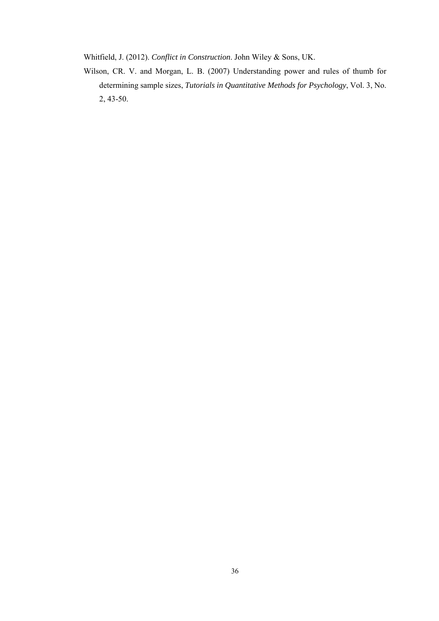Whitfield, J. (2012). *Conflict in Construction*. John Wiley & Sons, UK.

Wilson, CR. V. and Morgan, L. B. (2007) Understanding power and rules of thumb for determining sample sizes, *Tutorials in Quantitative Methods for Psychology*, Vol. 3, No. 2, 43-50.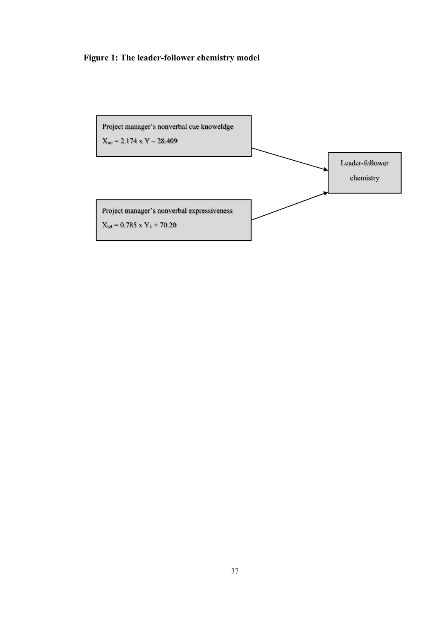### **Figure 1: The leader-follower chemistry model**

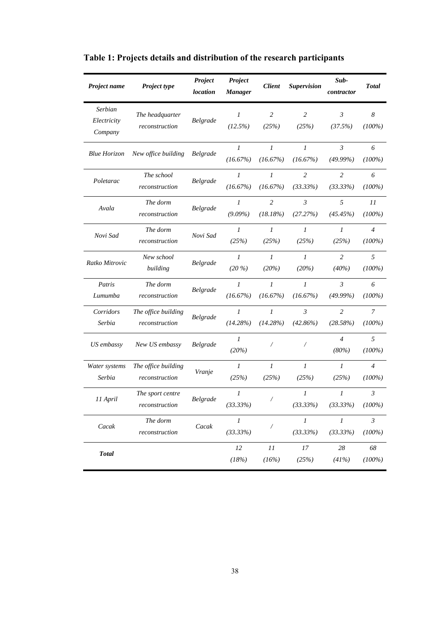| Project name                      | <b>Project type</b>                   | Project<br><i>location</i> | Project<br><b>Manager</b>    | <b>Client</b>               | <b>Supervision</b>            | Sub-<br>contractor            | <b>Total</b>                  |
|-----------------------------------|---------------------------------------|----------------------------|------------------------------|-----------------------------|-------------------------------|-------------------------------|-------------------------------|
| Serbian<br>Electricity<br>Company | The headquarter<br>reconstruction     | Belgrade                   | $\mathcal{I}$<br>(12.5%)     | $\overline{c}$<br>(25%)     | 2<br>(25%)                    | $\mathfrak{Z}$<br>(37.5%)     | $\boldsymbol{8}$<br>$(100\%)$ |
| <b>Blue Horizon</b>               | New office building                   | <b>Belgrade</b>            | $\boldsymbol{l}$<br>(16.67%) | 1<br>(16.67%)               | $\mathcal{I}$<br>(16.67%)     | $\mathfrak{Z}$<br>(49.99%)    | 6<br>$(100\%)$                |
| Poletarac                         | The school<br>reconstruction          | Belgrade                   | $\boldsymbol{l}$<br>(16.67%) | 1<br>(16.67%)               | $\overline{2}$<br>(33.33%)    | 2<br>(33.33%)                 | 6<br>$(100\%)$                |
| Avala                             | The dorm<br>reconstruction            | Belgrade                   | $\mathfrak{I}$<br>$(9.09\%)$ | $\overline{c}$<br>(18.18%)  | $\mathfrak{Z}$<br>(27.27%)    | 5<br>(45.45%)                 | 11<br>$(100\%)$               |
| Novi Sad                          | The dorm<br>reconstruction            | Novi Sad                   | $\mathfrak{I}$<br>(25%)      | $\mathfrak{I}$<br>(25%)     | $\mathcal{I}$<br>(25%)        | $\mathcal{I}$<br>(25%)        | $\overline{4}$<br>$(100\%)$   |
| Ratko Mitrovic                    | New school<br>building                | Belgrade                   | $\mathfrak{I}$<br>$(20\%)$   | $\mathfrak{I}$<br>(20%)     | $\mathfrak{1}$<br>(20%)       | $\overline{c}$<br>$(40\%)$    | 5<br>$(100\%)$                |
| Patris<br>Lumumba                 | The dorm<br>reconstruction            | Belgrade                   | 1<br>(16.67%)                | 1<br>(16.67%)               | $\mathcal{I}$<br>(16.67%)     | $\mathfrak{Z}$<br>$(49.99\%)$ | 6<br>$(100\%)$                |
| Corridors<br>Serbia               | The office building<br>reconstruction | Belgrade                   | 1<br>(14.28%)                | 1<br>(14.28%)               | $\mathfrak{Z}$<br>$(42.86\%)$ | 2<br>(28.58%)                 | 7<br>$(100\%)$                |
| US embassy                        | New US embassy                        | Belgrade                   | $\mathfrak{I}$<br>(20%)      | Ϊ                           |                               | $\overline{4}$<br>(80%)       | 5<br>$(100\%)$                |
| Water systems<br>Serbia           | The office building<br>reconstruction | Vranje                     | $\boldsymbol{l}$<br>(25%)    | $\boldsymbol{l}$<br>(25%)   | $\mathfrak{1}$<br>(25%)       | 1<br>(25%)                    | $\overline{4}$<br>$(100\%)$   |
| 11 April                          | The sport centre<br>reconstruction    | Belgrade                   | $\boldsymbol{l}$<br>(33.33%) |                             | $\mathcal{I}$<br>(33.33%)     | $\mathcal{I}$<br>(33.33%)     | $\mathfrak{Z}$<br>$(100\%)$   |
| Cacak                             | The dorm<br>reconstruction            | Cacak                      | $\overline{I}$<br>(33.33%)   | Γ                           | $\boldsymbol{l}$<br>(33.33%)  | $\mathcal{I}$<br>(33.33%)     | $\mathfrak{Z}$<br>$(100\%)$   |
| <b>Total</b>                      |                                       |                            | 12<br>(18%)                  | $\cal{I} {\cal I}$<br>(16%) | 17<br>(25%)                   | 28<br>(41%)                   | 68<br>$(100\%)$               |

# **Table 1: Projects details and distribution of the research participants**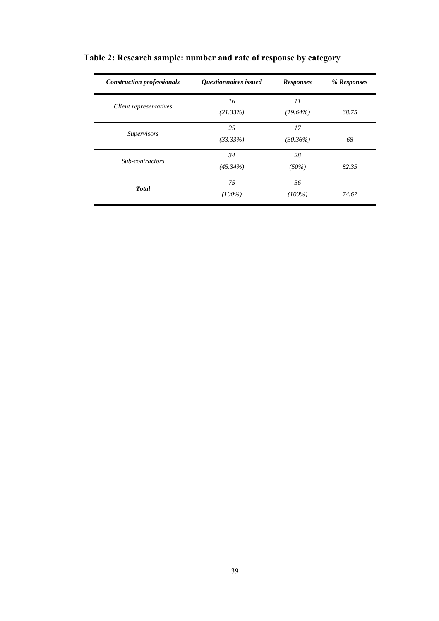| <b>Construction professionals</b> | Questionnaires issued | <b>Responses</b> | % Responses |
|-----------------------------------|-----------------------|------------------|-------------|
|                                   | 16                    | 11               |             |
| Client representatives            | (21.33%)              | $(19.64\%)$      | 68.75       |
|                                   | 25                    | 17               |             |
| <i>Supervisors</i>                | $(33.33\%)$           | $(30.36\%)$      | 68          |
|                                   | 34                    | 28               |             |
| Sub-contractors                   | $(45.34\%)$           | (50%)            | 82.35       |
|                                   | 75                    | 56               |             |
| <b>Total</b>                      | $(100\%)$             | $(100\%)$        | 74.67       |

# **Table 2: Research sample: number and rate of response by category**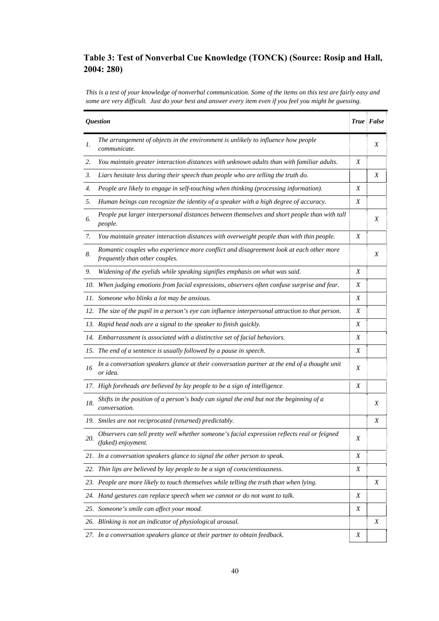### **Table 3: Test of Nonverbal Cue Knowledge (TONCK) (Source: Rosip and Hall, 2004: 280)**

*This is a test of your knowledge of nonverbal communication. Some of the items on this test are fairly easy and some are very difficult. Just do your best and answer every item even if you feel you might be guessing.* 

|     | <b>Question</b>                                                                                                          |   | True False |
|-----|--------------------------------------------------------------------------------------------------------------------------|---|------------|
| 1.  | The arrangement of objects in the environment is unlikely to influence how people<br>communicate.                        |   | Χ          |
| 2.  | You maintain greater interaction distances with unknown adults than with familiar adults.                                | X |            |
| 3.  | Liars hesitate less during their speech than people who are telling the truth do.                                        |   | Χ          |
| 4.  | People are likely to engage in self-touching when thinking (processing information).                                     | X |            |
| 5.  | Human beings can recognize the identity of a speaker with a high degree of accuracy.                                     | X |            |
| 6.  | People put larger interpersonal distances between themselves and short people than with tall<br>people.                  |   | X          |
| 7.  | You maintain greater interaction distances with overweight people than with thin people.                                 | X |            |
| 8.  | Romantic couples who experience more conflict and disagreement look at each other more<br>frequently than other couples. |   | X          |
| 9.  | Widening of the eyelids while speaking signifies emphasis on what was said.                                              | X |            |
| 10. | When judging emotions from facial expressions, observers often confuse surprise and fear.                                | Χ |            |
|     | 11. Someone who blinks a lot may be anxious.                                                                             | X |            |
|     | 12. The size of the pupil in a person's eye can influence interpersonal attraction to that person.                       | X |            |
|     | 13. Rapid head nods are a signal to the speaker to finish quickly.                                                       | X |            |
|     | 14. Embarrassment is associated with a distinctive set of facial behaviors.                                              | X |            |
|     | 15. The end of a sentence is usually followed by a pause in speech.                                                      | X |            |
| 16  | In a conversation speakers glance at their conversation partner at the end of a thought unit<br>or idea.                 | X |            |
|     | 17. High foreheads are believed by lay people to be a sign of intelligence.                                              | X |            |
| 18. | Shifts in the position of a person's body can signal the end but not the beginning of a<br>conversation.                 |   | Χ          |
|     | 19. Smiles are not reciprocated (returned) predictably.                                                                  |   | Χ          |
| 20. | Observers can tell pretty well whether someone's facial expression reflects real or feigned<br>(faked) enjoyment.        | Χ |            |
|     | 21. In a conversation speakers glance to signal the other person to speak.                                               | Χ |            |
|     | 22. Thin lips are believed by lay people to be a sign of conscientiousness.                                              | X |            |
|     | 23. People are more likely to touch themselves while telling the truth than when lying.                                  |   | Χ          |
|     | 24. Hand gestures can replace speech when we cannot or do not want to talk.                                              | Χ |            |
|     | 25. Someone's smile can affect your mood.                                                                                | Χ |            |
|     | 26. Blinking is not an indicator of physiological arousal.                                                               |   | Χ          |
|     | 27. In a conversation speakers glance at their partner to obtain feedback.                                               | Χ |            |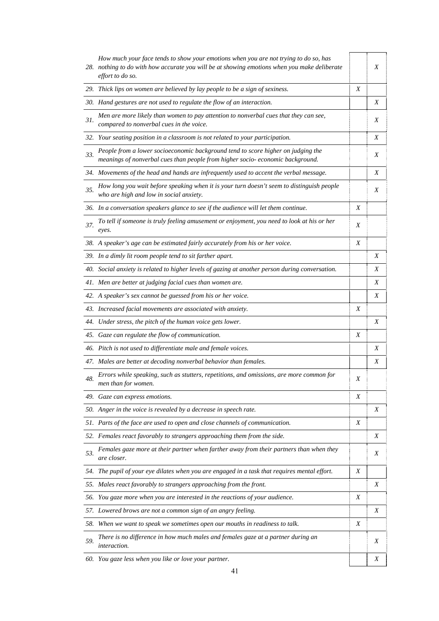|     | How much your face tends to show your emotions when you are not trying to do so, has<br>28. nothing to do with how accurate you will be at showing emotions when you make deliberate<br>effort to do so. |   | X |
|-----|----------------------------------------------------------------------------------------------------------------------------------------------------------------------------------------------------------|---|---|
|     | 29. Thick lips on women are believed by lay people to be a sign of sexiness.                                                                                                                             | Χ |   |
|     | 30. Hand gestures are not used to regulate the flow of an interaction.                                                                                                                                   |   | Χ |
| 31. | Men are more likely than women to pay attention to nonverbal cues that they can see,<br>compared to nonverbal cues in the voice.                                                                         |   | X |
|     | 32. Your seating position in a classroom is not related to your participation.                                                                                                                           |   | X |
| 33. | People from a lower socioeconomic background tend to score higher on judging the<br>meanings of nonverbal cues than people from higher socio- economic background.                                       |   | X |
|     | 34. Movements of the head and hands are infrequently used to accent the verbal message.                                                                                                                  |   | Χ |
| 35. | How long you wait before speaking when it is your turn doesn't seem to distinguish people<br>who are high and low in social anxiety.                                                                     |   | X |
|     | 36. In a conversation speakers glance to see if the audience will let them continue.                                                                                                                     | Χ |   |
| 37. | To tell if someone is truly feeling amusement or enjoyment, you need to look at his or her<br>eyes.                                                                                                      | Χ |   |
|     | 38. A speaker's age can be estimated fairly accurately from his or her voice.                                                                                                                            | Χ |   |
|     | 39. In a dimly lit room people tend to sit farther apart.                                                                                                                                                |   | Χ |
|     | 40. Social anxiety is related to higher levels of gazing at another person during conversation.                                                                                                          |   | Χ |
|     | 41. Men are better at judging facial cues than women are.                                                                                                                                                |   | Χ |
|     | 42. A speaker's sex cannot be guessed from his or her voice.                                                                                                                                             |   | X |
|     | 43. Increased facial movements are associated with anxiety.                                                                                                                                              | X |   |
|     | 44. Under stress, the pitch of the human voice gets lower.                                                                                                                                               |   | Χ |
|     | 45. Gaze can regulate the flow of communication.                                                                                                                                                         | Χ |   |
|     | 46. Pitch is not used to differentiate male and female voices.                                                                                                                                           |   | Χ |
|     | 47. Males are better at decoding nonverbal behavior than females.                                                                                                                                        |   | X |
| 48. | Errors while speaking, such as stutters, repetitions, and omissions, are more common for<br>men than for women.                                                                                          | Χ |   |
|     | 49. Gaze can express emotions.                                                                                                                                                                           | Χ |   |
|     | 50. Anger in the voice is revealed by a decrease in speech rate.                                                                                                                                         |   | Χ |
|     | 51. Parts of the face are used to open and close channels of communication.                                                                                                                              | Χ |   |
|     | 52. Females react favorably to strangers approaching them from the side.                                                                                                                                 |   | Χ |
| 53. | Females gaze more at their partner when farther away from their partners than when they<br>are closer.                                                                                                   |   | Χ |
|     | 54. The pupil of your eye dilates when you are engaged in a task that requires mental effort.                                                                                                            | Χ |   |
|     | 55. Males react favorably to strangers approaching from the front.                                                                                                                                       |   | X |
|     | 56. You gaze more when you are interested in the reactions of your audience.                                                                                                                             | Χ |   |
|     | 57. Lowered brows are not a common sign of an angry feeling.                                                                                                                                             |   | Χ |
|     | 58. When we want to speak we sometimes open our mouths in readiness to talk.                                                                                                                             | Χ |   |
| 59. | There is no difference in how much males and females gaze at a partner during an<br><i>interaction.</i>                                                                                                  |   | Χ |
|     | 60. You gaze less when you like or love your partner.                                                                                                                                                    |   | Χ |

41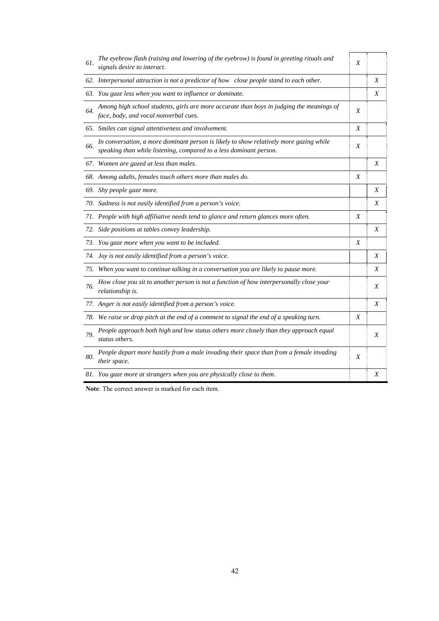| 61. | The eyebrow flash (raising and lowering of the eyebrow) is found in greeting rituals and<br>signals desire to interact.                                      | X |   |
|-----|--------------------------------------------------------------------------------------------------------------------------------------------------------------|---|---|
|     | 62. Interpersonal attraction is not a predictor of how close people stand to each other.                                                                     |   | Χ |
|     | 63. You gaze less when you want to influence or dominate.                                                                                                    |   | Χ |
| 64. | Among high school students, girls are more accurate than boys in judging the meanings of<br>face, body, and vocal nonverbal cues.                            | X |   |
|     | 65. Smiles can signal attentiveness and involvement.                                                                                                         | X |   |
| 66. | In conversation, a more dominant person is likely to show relatively more gazing while<br>speaking than while listening, compared to a less dominant person. | X |   |
|     | 67. Women are gazed at less than males.                                                                                                                      |   | X |
|     | 68. Among adults, females touch others more than males do.                                                                                                   | X |   |
|     | 69. Shy people gaze more.                                                                                                                                    |   | Χ |
|     | 70. Sadness is not easily identified from a person's voice.                                                                                                  |   | Χ |
|     | 71. People with high affiliative needs tend to glance and return glances more often.                                                                         | Χ |   |
|     | 72. Side positions at tables convey leadership.                                                                                                              |   | X |
|     | 73. You gaze more when you want to be included.                                                                                                              | X |   |
|     | 74. Joy is not easily identified from a person's voice.                                                                                                      |   | Χ |
|     | 75. When you want to continue talking in a conversation you are likely to pause more.                                                                        |   | X |
| 76. | How close you sit to another person is not a function of how interpersonally close your<br>relationship is.                                                  |   | X |
|     | 77. Anger is not easily identified from a person's voice.                                                                                                    |   | X |
|     | 78. We raise or drop pitch at the end of a comment to signal the end of a speaking turn.                                                                     | X |   |
| 79. | People approach both high and low status others more closely than they approach equal<br>status others.                                                      |   | Χ |
| 80. | People depart more hastily from a male invading their space than from a female invading<br>their space.                                                      | X |   |
|     | 81. You gaze more at strangers when you are physically close to them.                                                                                        |   | X |

**Note**: The correct answer is marked for each item.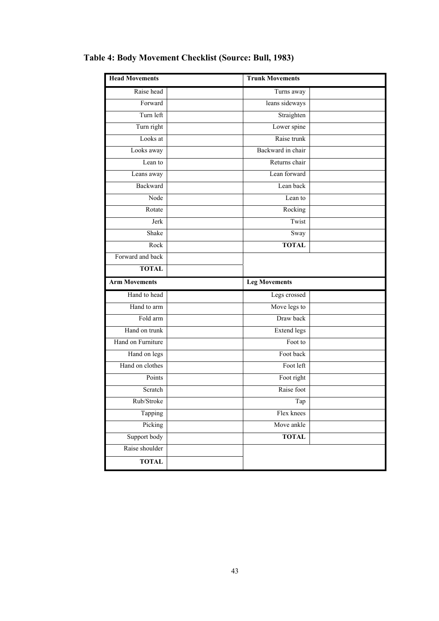| <b>Head Movements</b> | <b>Trunk Movements</b> |  |
|-----------------------|------------------------|--|
| Raise head            | Turns away             |  |
| Forward               | leans sideways         |  |
| Turn left             | Straighten             |  |
| Turn right            | Lower spine            |  |
| Looks at              | Raise trunk            |  |
| Looks away            | Backward in chair      |  |
| Lean to               | Returns chair          |  |
| Leans away            | Lean forward           |  |
| <b>Backward</b>       | Lean back              |  |
| Node                  | Lean to                |  |
| Rotate                | Rocking                |  |
| Jerk                  | Twist                  |  |
| Shake                 | Sway                   |  |
| Rock                  | <b>TOTAL</b>           |  |
| Forward and back      |                        |  |
| <b>TOTAL</b>          |                        |  |
| <b>Arm Movements</b>  | <b>Leg Movements</b>   |  |
| Hand to head          | Legs crossed           |  |
| Hand to arm           | Move legs to           |  |
| Fold arm              | Draw back              |  |
| Hand on trunk         | <b>Extend legs</b>     |  |
| Hand on Furniture     | Foot to                |  |
| Hand on legs          | Foot back              |  |
| Hand on clothes       | Foot left              |  |
| Points                | Foot right             |  |
| Scratch               | Raise foot             |  |
| Rub/Stroke            | Tap                    |  |
| Tapping               | Flex knees             |  |
| Picking               | Move ankle             |  |
| Support body          | <b>TOTAL</b>           |  |
| Raise shoulder        |                        |  |
| <b>TOTAL</b>          |                        |  |

# **Table 4: Body Movement Checklist (Source: Bull, 1983)**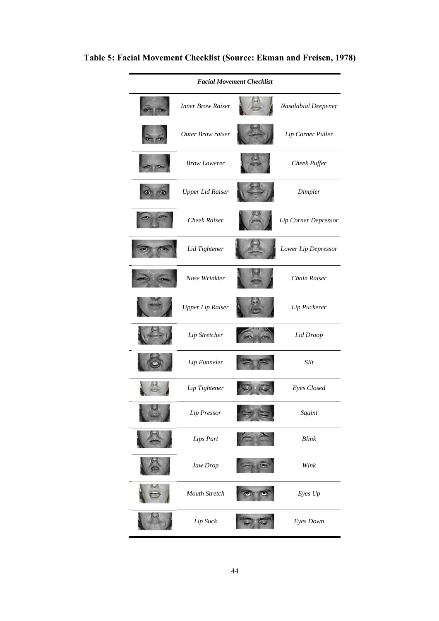# **Table 5: Facial Movement Checklist (Source: Ekman and Freisen, 1978)**

|                          | <b>Facial Movement Checklist</b> |                      |
|--------------------------|----------------------------------|----------------------|
| <b>Inner Brow Raiser</b> |                                  | Nasolabial Deepener  |
| Outer Brow raiser        |                                  | Lip Corner Puller    |
| <b>Brow Lowerer</b>      |                                  | Cheek Puffer         |
| <b>Upper Lid Raiser</b>  |                                  | Dimpler              |
| <b>Cheek Raiser</b>      |                                  | Lip Corner Depressor |
| Lid Tightener            |                                  | Lower Lip Depressor  |
| Nose Wrinkler            |                                  | Chain Raiser         |
| <b>Upper Lip Raiser</b>  |                                  | Lip Puckerer         |
| Lip Stretcher            |                                  | Lid Droop            |
| Lip Funneler             |                                  | Slit                 |
| Lip Tightener            |                                  | Eyes Closed          |
| Lip Pressor              |                                  | Squint               |
| Lips Part                |                                  | <b>Blink</b>         |
| Jaw Drop                 |                                  | Wink                 |
| Mouth Stretch            |                                  | Eyes Up              |
| Lip Suck                 |                                  | Eyes Down            |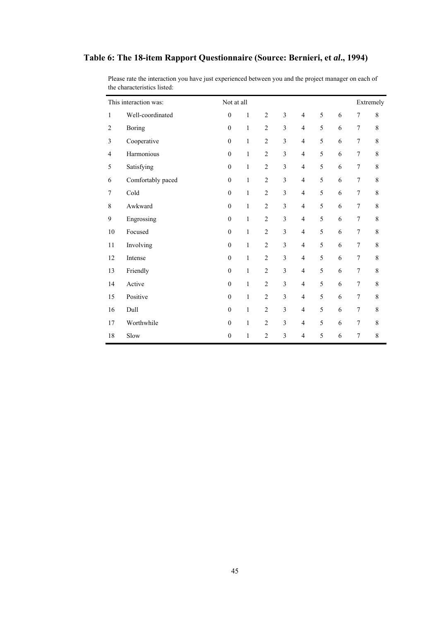### **Table 6: The 18-item Rapport Questionnaire (Source: Bernieri, et** *al***., 1994)**

|                | This interaction was: | Not at all       |              |                |                         |                          |   |   |                  | Extremely   |
|----------------|-----------------------|------------------|--------------|----------------|-------------------------|--------------------------|---|---|------------------|-------------|
| $\mathbf{1}$   | Well-coordinated      | $\boldsymbol{0}$ | $\mathbf{1}$ | $\mathfrak{2}$ | 3                       | $\overline{\mathcal{L}}$ | 5 | 6 | $\boldsymbol{7}$ | 8           |
| $\overline{2}$ | <b>Boring</b>         | $\mathbf{0}$     | $\mathbf{1}$ | $\overline{c}$ | 3                       | $\overline{4}$           | 5 | 6 | 7                | 8           |
| 3              | Cooperative           | $\boldsymbol{0}$ | 1            | $\overline{c}$ | 3                       | $\overline{4}$           | 5 | 6 | $\boldsymbol{7}$ | 8           |
| 4              | Harmonious            | $\boldsymbol{0}$ | $\mathbf{1}$ | $\overline{2}$ | 3                       | $\overline{4}$           | 5 | 6 | $\tau$           | $\,$ 8 $\,$ |
| 5              | Satisfying            | $\boldsymbol{0}$ | $\mathbf{1}$ | $\overline{c}$ | 3                       | $\overline{4}$           | 5 | 6 | $\boldsymbol{7}$ | $\,$ 8 $\,$ |
| 6              | Comfortably paced     | $\mathbf{0}$     | $\mathbf{1}$ | $\overline{2}$ | 3                       | $\overline{4}$           | 5 | 6 | $\tau$           | $\,$ $\,$   |
| 7              | Cold                  | $\mathbf{0}$     | $\mathbf{1}$ | $\overline{c}$ | 3                       | $\overline{4}$           | 5 | 6 | $\boldsymbol{7}$ | 8           |
| $\,$ 8 $\,$    | Awkward               | $\mathbf{0}$     | $\mathbf{1}$ | $\overline{c}$ | 3                       | $\overline{4}$           | 5 | 6 | $\boldsymbol{7}$ | $\,$ 8 $\,$ |
| $\mathbf{9}$   | Engrossing            | $\boldsymbol{0}$ | $\mathbf{1}$ | $\overline{c}$ | 3                       | $\overline{4}$           | 5 | 6 | $\boldsymbol{7}$ | $\,$ $\,$   |
| 10             | Focused               | $\boldsymbol{0}$ | $\mathbf{1}$ | $\mathfrak{2}$ | 3                       | $\overline{4}$           | 5 | 6 | $\boldsymbol{7}$ | 8           |
| 11             | Involving             | $\boldsymbol{0}$ | $\mathbf{1}$ | $\sqrt{2}$     | $\overline{\mathbf{3}}$ | $\overline{\mathcal{L}}$ | 5 | 6 | $\boldsymbol{7}$ | 8           |
| 12             | Intense               | $\boldsymbol{0}$ | $\mathbf{1}$ | $\mathfrak{2}$ | 3                       | $\overline{4}$           | 5 | 6 | $\boldsymbol{7}$ | 8           |
| 13             | Friendly              | $\boldsymbol{0}$ | $\mathbf{1}$ | $\mathfrak{2}$ | 3                       | $\overline{4}$           | 5 | 6 | $\boldsymbol{7}$ | 8           |
| 14             | Active                | $\boldsymbol{0}$ | 1            | $\mathfrak{2}$ | 3                       | $\overline{4}$           | 5 | 6 | $\boldsymbol{7}$ | 8           |
| 15             | Positive              | $\mathbf{0}$     | $\mathbf{1}$ | $\mathfrak{2}$ | 3                       | $\overline{4}$           | 5 | 6 | $\tau$           | 8           |
| 16             | Dull                  | $\theta$         | $\mathbf{1}$ | $\overline{c}$ | 3                       | $\overline{4}$           | 5 | 6 | $\boldsymbol{7}$ | 8           |
| 17             | Worthwhile            | $\mathbf{0}$     | $\mathbf{1}$ | $\overline{2}$ | 3                       | $\overline{4}$           | 5 | 6 | $\tau$           | 8           |
| 18             | Slow                  | $\mathbf{0}$     | $\mathbf{1}$ | $\overline{c}$ | 3                       | $\overline{4}$           | 5 | 6 | $\boldsymbol{7}$ | 8           |

Please rate the interaction you have just experienced between you and the project manager on each of the characteristics listed: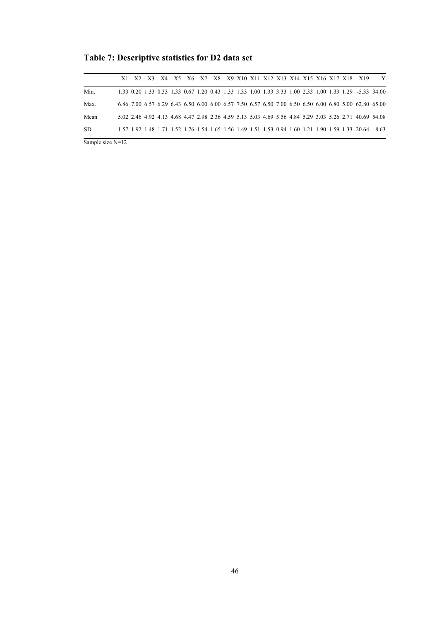**Table 7: Descriptive statistics for D2 data set** 

|      |  |  |  |  |  |  |  |  |  | X1 X2 X3 X4 X5 X6 X7 X8 X9 X10 X11 X12 X13 X14 X15 X16 X17 X18 X19                                    | Y |
|------|--|--|--|--|--|--|--|--|--|-------------------------------------------------------------------------------------------------------|---|
| Min. |  |  |  |  |  |  |  |  |  | 1.33 0.20 1.33 0.33 1.33 0.67 1.20 0.43 1.33 1.33 1.00 1.33 3.33 1.00 2.33 1.00 1.33 1.29 -5.33 34.00 |   |
| Max. |  |  |  |  |  |  |  |  |  | 6.86 7.00 6.57 6.29 6.43 6.50 6.00 6.00 6.57 7.50 6.57 6.50 7.00 6.50 6.50 6.00 6.80 5.00 62.80 65.00 |   |
| Mean |  |  |  |  |  |  |  |  |  | 5.02 2.46 4.92 4.13 4.68 4.47 2.98 2.36 4.59 5.13 5.03 4.69 5.56 4.84 5.29 3.03 5.26 2.71 40.69 54.08 |   |
| -SD  |  |  |  |  |  |  |  |  |  | 1.57 1.92 1.48 1.71 1.52 1.76 1.54 1.65 1.56 1.49 1.51 1.53 0.94 1.60 1.21 1.90 1.59 1.33 20.64 8.63  |   |

Sample size N=12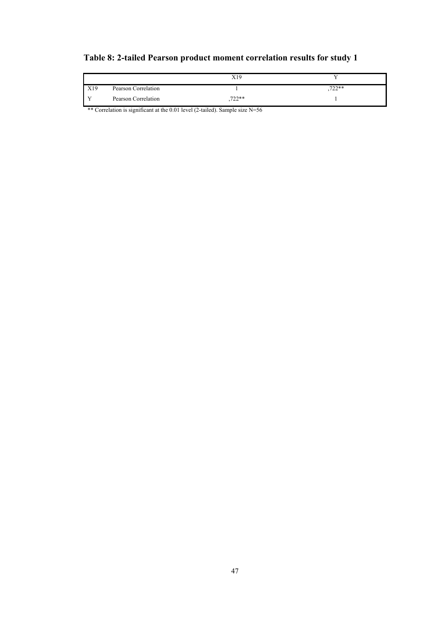# **Table 8: 2-tailed Pearson product moment correlation results for study 1**

|     |                     | X19          |        |
|-----|---------------------|--------------|--------|
| X19 | Pearson Correlation |              | .722** |
|     | Pearson Correlation | $722**$<br>∸ |        |

\*\* Correlation is significant at the 0.01 level (2-tailed). Sample size N=56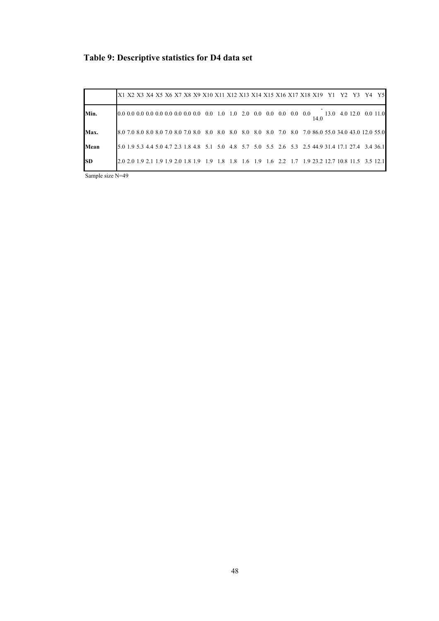# **Table 9: Descriptive statistics for D4 data set**

|           |  |  |  |  |  |  | X1 X2 X3 X4 X5 X6 X7 X8 X9 X10 X11 X12 X13 X14 X15 X16 X17 X18 X19 Y1 Y2 Y3 Y4 Y5                     |  |  |  |  |      |  |  |                        |
|-----------|--|--|--|--|--|--|-------------------------------------------------------------------------------------------------------|--|--|--|--|------|--|--|------------------------|
| Min.      |  |  |  |  |  |  |                                                                                                       |  |  |  |  | 14.0 |  |  | 13.0 4.0 12.0 0.0 11.0 |
| Max.      |  |  |  |  |  |  | 8.0 7.0 8.0 8.0 8.0 7.0 8.0 7.0 8.0 8.0 8.0 8.0 8.0 8.0 8.0 7.0 8.0 7.0 86.0 55.0 34.0 43.0 12.0 55.0 |  |  |  |  |      |  |  |                        |
| Mean      |  |  |  |  |  |  | 5.0 1.9 5.3 4.4 5.0 4.7 2.3 1.8 4.8 5.1 5.0 4.8 5.7 5.0 5.5 2.6 5.3 2.5 44.9 31.4 17.1 27.4 3.4 36.1  |  |  |  |  |      |  |  |                        |
| <b>SD</b> |  |  |  |  |  |  | 2.0 2.0 1.9 2.1 1.9 1.9 2.0 1.8 1.9 1.8 1.8 1.6 1.9 1.6 2.2 1.7 1.9 23.2 12.7 10.8 11.5 3.5 12.1      |  |  |  |  |      |  |  |                        |

Sample size N=49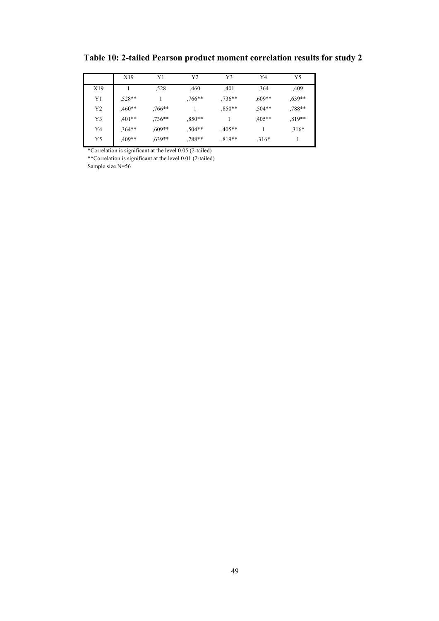|     | X19      | Y1        | Y2                | Y3                | Y4        | Y5       |
|-----|----------|-----------|-------------------|-------------------|-----------|----------|
| X19 |          | ,528      | ,460              | ,401              | ,364      | ,409     |
| Y1  | $.528**$ |           | $.766**$          | $.736**$          | $0.609**$ | $.639**$ |
| Y2  | $0**$    | $0.766**$ |                   | $0$ <sup>**</sup> | $.504**$  | $.788**$ |
| Y3  | $,401**$ | $.736**$  | $0$ <sup>**</sup> |                   | $,405**$  | $.819**$ |
| Y4  | $,364**$ | $0.609**$ | $,504**$          | $,405**$          |           | $.316*$  |
| Y5  | $,409**$ | $0.639**$ | $,788**$          | $.819**$          | $,316*$   |          |

**Table 10: 2-tailed Pearson product moment correlation results for study 2** 

\*Correlation is significant at the level 0.05 (2-tailed)

\*\*Correlation is significant at the level 0.01 (2-tailed) Sample size N=56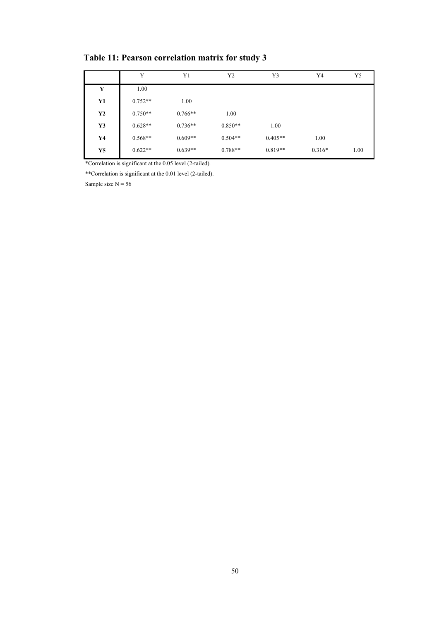| Table 11: Pearson correlation matrix for study 3 |  |  |  |  |  |  |  |
|--------------------------------------------------|--|--|--|--|--|--|--|
|--------------------------------------------------|--|--|--|--|--|--|--|

|    | Y         | Y1        | Y2        | Y3        | Y4       | Y5   |
|----|-----------|-----------|-----------|-----------|----------|------|
| Y  | 1.00      |           |           |           |          |      |
| Y1 | $0.752**$ | 1.00      |           |           |          |      |
| Y2 | $0.750**$ | $0.766**$ | 1.00      |           |          |      |
| Y3 | $0.628**$ | $0.736**$ | $0.850**$ | 1.00      |          |      |
| Y4 | $0.568**$ | $0.609**$ | $0.504**$ | $0.405**$ | 1.00     |      |
| Y5 | $0.622**$ | $0.639**$ | $0.788**$ | $0.819**$ | $0.316*$ | 1.00 |

\*Correlation is significant at the 0.05 level (2-tailed).

\*\*Correlation is significant at the 0.01 level (2-tailed).

Sample size  $N = 56$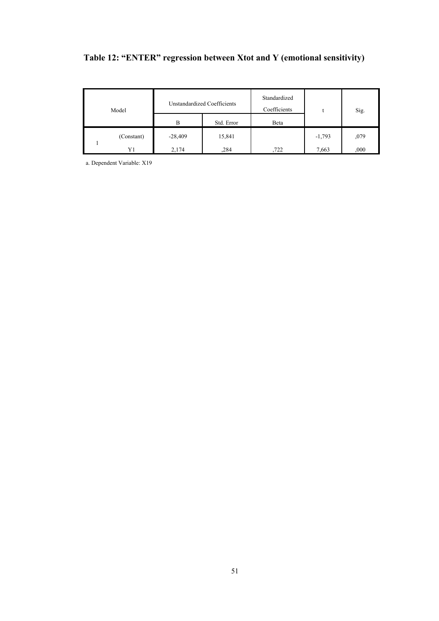# **Table 12: "ENTER" regression between Xtot and Y (emotional sensitivity)**

| Model |            | Unstandardized Coefficients |            | Standardized<br>Coefficients |          | Sig. |
|-------|------------|-----------------------------|------------|------------------------------|----------|------|
|       |            | В                           | Std. Error | Beta                         |          |      |
|       | (Constant) | $-28,409$                   | 15,841     |                              | $-1,793$ | ,079 |
|       | Y1         | 2,174                       | .284       | 722                          | 7,663    | ,000 |

a. Dependent Variable: X19